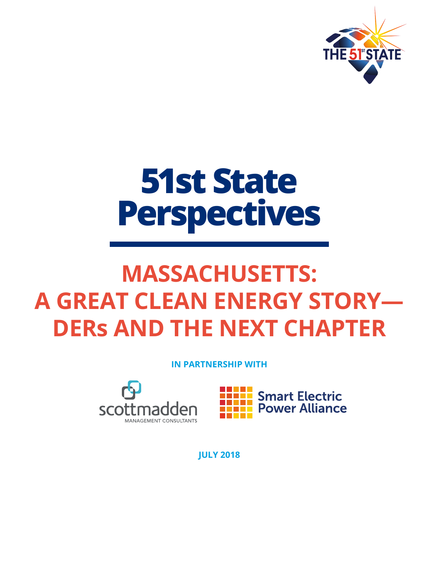

# **51st State Perspectives**

# **MASSACHUSETTS: A GREAT CLEAN ENERGY STORY— DERs AND THE NEXT CHAPTER**

**IN PARTNERSHIP WITH**





**JULY 2018**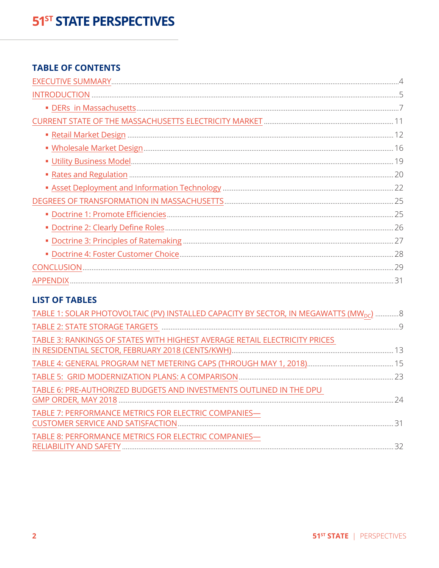#### **TABLE OF CONTENTS**

#### **LIST OF TABLES**

| TABLE 1: SOLAR PHOTOVOLTAIC (PV) INSTALLED CAPACITY BY SECTOR, IN MEGAWATTS (MW <sub>DC</sub> ) 8 |  |
|---------------------------------------------------------------------------------------------------|--|
|                                                                                                   |  |
| TABLE 3: RANKINGS OF STATES WITH HIGHEST AVERAGE RETAIL ELECTRICITY PRICES                        |  |
|                                                                                                   |  |
|                                                                                                   |  |
| TABLE 6: PRE-AUTHORIZED BUDGETS AND INVESTMENTS OUTLINED IN THE DPU                               |  |
| TABLE 7: PERFORMANCE METRICS FOR ELECTRIC COMPANIES-                                              |  |
| TABLE 8: PERFORMANCE METRICS FOR ELECTRIC COMPANIES-                                              |  |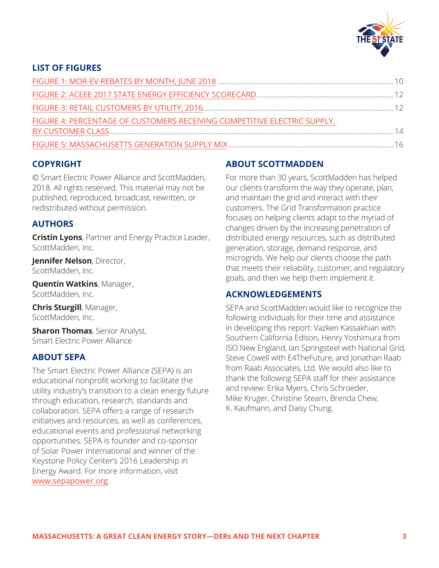

#### **LIST OF FIGURES**

| FIGURE 4: PERCENTAGE OF CUSTOMERS RECEIVING COMPETITIVE ELECTRIC SUPPLY, |  |
|--------------------------------------------------------------------------|--|
|                                                                          |  |
|                                                                          |  |

#### **COPYRIGHT**

© Smart Electric Power Alliance and ScottMadden, 2018. All rights reserved. This material may not be published, reproduced, broadcast, rewritten, or redistributed without permission.

#### **AUTHORS**

**Cristin Lyons**, Partner and Energy Practice Leader, ScottMadden, Inc.

**Jennifer Nelson**, Director, ScottMadden, Inc.

**Quentin Watkins**, Manager, ScottMadden, Inc.

**Chris Sturgill**, Manager, ScottMadden, Inc.

**Sharon Thomas**, Senior Analyst, Smart Electric Power Alliance

#### **ABOUT SEPA**

The Smart Electric Power Alliance (SEPA) is an educational nonprofit working to facilitate the utility industry's transition to a clean energy future through education, research, standards and collaboration. SEPA offers a range of research initiatives and resources, as well as conferences, educational events and professional networking opportunities. SEPA is founder and co-sponsor of Solar Power International and winner of the Keystone Policy Center's 2016 Leadership in Energy Award. For more information, visit [www.sepapower.org](http://www.sepapower.org).

#### **ABOUT SCOTTMADDEN**

For more than 30 years, ScottMadden has helped our clients transform the way they operate, plan, and maintain the grid and interact with their customers. The Grid Transformation practice focuses on helping clients adapt to the myriad of changes driven by the increasing penetration of distributed energy resources, such as distributed generation, storage, demand response, and microgrids. We help our clients choose the path that meets their reliability, customer, and regulatory goals, and then we help them implement it.

#### **ACKNOWLEDGEMENTS**

SEPA and ScottMadden would like to recognize the following individuals for their time and assistance in developing this report: Vazken Kassakhian with Southern California Edison, Henry Yoshimura from ISO New England, Ian Springsteel with National Grid, Steve Cowell with E4TheFuture, and Jonathan Raab from Raab Associates, Ltd. We would also like to thank the following SEPA staff for their assistance and review: Erika Myers, Chris Schroeder, Mike Kruger, Christine Stearn, Brenda Chew, K. Kaufmann, and Daisy Chung.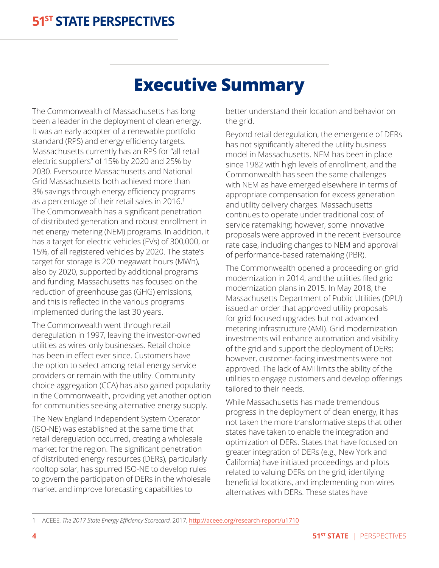# **Executive Summary**

The Commonwealth of Massachusetts has long been a leader in the deployment of clean energy. It was an early adopter of a renewable portfolio standard (RPS) and energy efficiency targets. Massachusetts currently has an RPS for "all retail electric suppliers" of 15% by 2020 and 25% by 2030. Eversource Massachusetts and National Grid Massachusetts both achieved more than 3% savings through energy efficiency programs as a percentage of their retail sales in 2016.<sup>1</sup> The Commonwealth has a significant penetration of distributed generation and robust enrollment in net energy metering (NEM) programs. In addition, it has a target for electric vehicles (EVs) of 300,000, or 15%, of all registered vehicles by 2020. The state's target for storage is 200 megawatt hours (MWh), also by 2020, supported by additional programs and funding. Massachusetts has focused on the reduction of greenhouse gas (GHG) emissions, and this is reflected in the various programs implemented during the last 30 years.

The Commonwealth went through retail deregulation in 1997, leaving the investor-owned utilities as wires-only businesses. Retail choice has been in effect ever since. Customers have the option to select among retail energy service providers or remain with the utility. Community choice aggregation (CCA) has also gained popularity in the Commonwealth, providing yet another option for communities seeking alternative energy supply.

The New England Independent System Operator (ISO-NE) was established at the same time that retail deregulation occurred, creating a wholesale market for the region. The significant penetration of distributed energy resources (DERs), particularly rooftop solar, has spurred ISO-NE to develop rules to govern the participation of DERs in the wholesale market and improve forecasting capabilities to

<span id="page-3-0"></span>better understand their location and behavior on the grid.

Beyond retail deregulation, the emergence of DERs has not significantly altered the utility business model in Massachusetts. NEM has been in place since 1982 with high levels of enrollment, and the Commonwealth has seen the same challenges with NEM as have emerged elsewhere in terms of appropriate compensation for excess generation and utility delivery charges. Massachusetts continues to operate under traditional cost of service ratemaking; however, some innovative proposals were approved in the recent Eversource rate case, including changes to NEM and approval of performance-based ratemaking (PBR).

The Commonwealth opened a proceeding on grid modernization in 2014, and the utilities filed grid modernization plans in 2015. In May 2018, the Massachusetts Department of Public Utilities (DPU) issued an order that approved utility proposals for grid-focused upgrades but not advanced metering infrastructure (AMI). Grid modernization investments will enhance automation and visibility of the grid and support the deployment of DERs; however, customer-facing investments were not approved. The lack of AMI limits the ability of the utilities to engage customers and develop offerings tailored to their needs.

While Massachusetts has made tremendous progress in the deployment of clean energy, it has not taken the more transformative steps that other states have taken to enable the integration and optimization of DERs. States that have focused on greater integration of DERs (e.g., New York and California) have initiated proceedings and pilots related to valuing DERs on the grid, identifying beneficial locations, and implementing non-wires alternatives with DERs. These states have

<sup>1</sup> ACEEE, *The 2017 State Energy Efficiency Scorecard*, 2017, <http://aceee.org/research-report/u1710>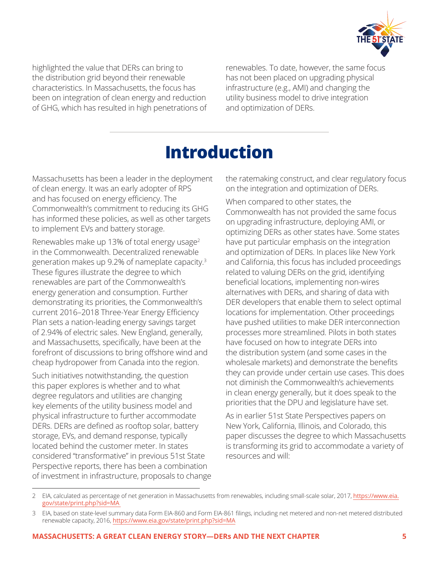

highlighted the value that DERs can bring to the distribution grid beyond their renewable characteristics. In Massachusetts, the focus has been on integration of clean energy and reduction of GHG, which has resulted in high penetrations of renewables. To date, however, the same focus has not been placed on upgrading physical infrastructure (e.g., AMI) and changing the utility business model to drive integration and optimization of DERs.

# **Introduction**

Massachusetts has been a leader in the deployment of clean energy. It was an early adopter of RPS and has focused on energy efficiency. The Commonwealth's commitment to reducing its GHG has informed these policies, as well as other targets to implement EVs and battery storage.

Renewables make up 13% of total energy usage<sup>2</sup> in the Commonwealth. Decentralized renewable generation makes up 9.2% of nameplate capacity.<sup>3</sup> These figures illustrate the degree to which renewables are part of the Commonwealth's energy generation and consumption. Further demonstrating its priorities, the Commonwealth's current 2016–2018 Three-Year Energy Efficiency Plan sets a nation-leading energy savings target of 2.94% of electric sales. New England, generally, and Massachusetts, specifically, have been at the forefront of discussions to bring offshore wind and cheap hydropower from Canada into the region.

Such initiatives notwithstanding, the question this paper explores is whether and to what degree regulators and utilities are changing key elements of the utility business model and physical infrastructure to further accommodate DERs. DERs are defined as rooftop solar, battery storage, EVs, and demand response, typically located behind the customer meter. In states considered "transformative" in previous 51st State Perspective reports, there has been a combination of investment in infrastructure, proposals to change <span id="page-4-0"></span>the ratemaking construct, and clear regulatory focus on the integration and optimization of DERs.

When compared to other states, the Commonwealth has not provided the same focus on upgrading infrastructure, deploying AMI, or optimizing DERs as other states have. Some states have put particular emphasis on the integration and optimization of DERs. In places like New York and California, this focus has included proceedings related to valuing DERs on the grid, identifying beneficial locations, implementing non-wires alternatives with DERs, and sharing of data with DER developers that enable them to select optimal locations for implementation. Other proceedings have pushed utilities to make DER interconnection processes more streamlined. Pilots in both states have focused on how to integrate DERs into the distribution system (and some cases in the wholesale markets) and demonstrate the benefits they can provide under certain use cases. This does not diminish the Commonwealth's achievements in clean energy generally, but it does speak to the priorities that the DPU and legislature have set.

As in earlier 51st State Perspectives papers on New York, California, Illinois, and Colorado, this paper discusses the degree to which Massachusetts is transforming its grid to accommodate a variety of resources and will:

<sup>2</sup> EIA, calculated as percentage of net generation in Massachusetts from renewables, including small-scale solar, 2017, [https://www.eia.](https://www.eia.gov/state/print.php?sid=MA) [gov/state/print.php?sid=MA](https://www.eia.gov/state/print.php?sid=MA)

<sup>3</sup> EIA, based on state-level summary data Form EIA-860 and Form EIA-861 filings, including net metered and non-net metered distributed renewable capacity, 2016, <https://www.eia.gov/state/print.php?sid=MA>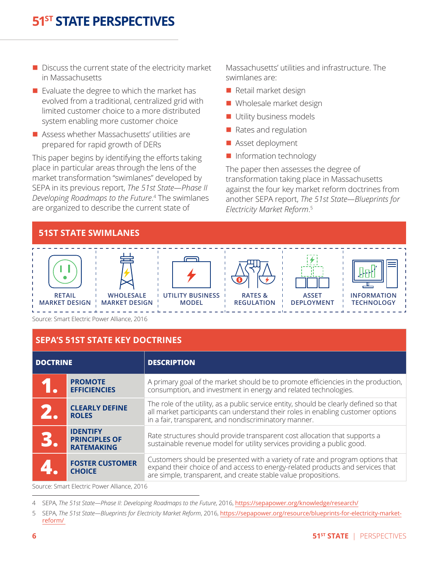- $\blacksquare$  Discuss the current state of the electricity market in Massachusetts
- $\blacksquare$  Evaluate the degree to which the market has evolved from a traditional, centralized grid with limited customer choice to a more distributed system enabling more customer choice
- Assess whether Massachusetts' utilities are prepared for rapid growth of DERs

This paper begins by identifying the efforts taking place in particular areas through the lens of the market transformation "swimlanes" developed by SEPA in its previous report, *The 51st State—Phase II Developing Roadmaps to the Future*. 4 The swimlanes are organized to describe the current state of

Massachusetts' utilities and infrastructure. The swimlanes are:

- $\blacksquare$  Retail market design
- $\blacksquare$  Wholesale market design
- **n** Utility business models
- $\blacksquare$  Rates and regulation
- Asset deployment
- n Information technology

The paper then assesses the degree of transformation taking place in Massachusetts against the four key market reform doctrines from another SEPA report, *The 51st State—Blueprints for Electricity Market Reform*. 5



Source: Smart Electric Power Alliance, 2016

#### **SEPA'S 51ST STATE KEY DOCTRINES**

| <b>DOCTRINE</b> |                                                              | <b>DESCRIPTION</b>                                                                                                                                                                                                                 |
|-----------------|--------------------------------------------------------------|------------------------------------------------------------------------------------------------------------------------------------------------------------------------------------------------------------------------------------|
|                 | <b>PROMOTE</b><br><b>EFFICIENCIES</b>                        | A primary goal of the market should be to promote efficiencies in the production,<br>consumption, and investment in energy and related technologies.                                                                               |
|                 | <b>CLEARLY DEFINE</b><br><b>ROLES</b>                        | The role of the utility, as a public service entity, should be clearly defined so that<br>all market participants can understand their roles in enabling customer options<br>in a fair, transparent, and nondiscriminatory manner. |
| B               | <b>IDENTIFY</b><br><b>PRINCIPLES OF</b><br><b>RATEMAKING</b> | Rate structures should provide transparent cost allocation that supports a<br>sustainable revenue model for utility services providing a public good.                                                                              |
|                 | <b>FOSTER CUSTOMER</b><br><b>CHOICE</b>                      | Customers should be presented with a variety of rate and program options that<br>expand their choice of and access to energy-related products and services that<br>are simple, transparent, and create stable value propositions.  |

Source: Smart Electric Power Alliance, 2016

<sup>4</sup> SEPA, *The 51st State—Phase II: Developing Roadmaps to the Future*, 2016, <https://sepapower.org/knowledge/research/>

<sup>5</sup> SEPA, *The 51st State—Blueprints for Electricity Market Reform*, 2016, [https://sepapower.org/resource/blueprints-for-electricity-market](https://sepapower.org/resource/blueprints-for-electricity-market-reform/)[reform/](https://sepapower.org/resource/blueprints-for-electricity-market-reform/)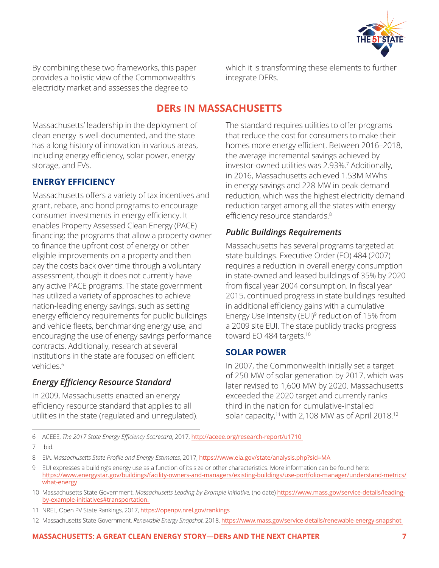

By combining these two frameworks, this paper provides a holistic view of the Commonwealth's electricity market and assesses the degree to

which it is transforming these elements to further integrate DERs.

#### **DERs IN MASSACHUSETTS**

Massachusetts' leadership in the deployment of clean energy is well-documented, and the state has a long history of innovation in various areas, including energy efficiency, solar power, energy storage, and EVs.

#### **ENERGY EFFICIENCY**

Massachusetts offers a variety of tax incentives and grant, rebate, and bond programs to encourage consumer investments in energy efficiency. It enables Property Assessed Clean Energy (PACE) financing; the programs that allow a property owner to finance the upfront cost of energy or other eligible improvements on a property and then pay the costs back over time through a voluntary assessment, though it does not currently have any active PACE programs. The state government has utilized a variety of approaches to achieve nation-leading energy savings, such as setting energy efficiency requirements for public buildings and vehicle fleets, benchmarking energy use, and encouraging the use of energy savings performance contracts. Additionally, research at several institutions in the state are focused on efficient vehicles.6

#### *Energy Efficiency Resource Standard*

In 2009, Massachusetts enacted an energy efficiency resource standard that applies to all utilities in the state (regulated and unregulated). <span id="page-6-0"></span>The standard requires utilities to offer programs that reduce the cost for consumers to make their homes more energy efficient. Between 2016–2018, the average incremental savings achieved by investor-owned utilities was 2.93%.<sup>7</sup> Additionally, in 2016, Massachusetts achieved 1.53M MWhs in energy savings and 228 MW in peak-demand reduction, which was the highest electricity demand reduction target among all the states with energy efficiency resource standards.<sup>8</sup>

#### *Public Buildings Requirements*

Massachusetts has several programs targeted at state buildings. Executive Order (EO) 484 (2007) requires a reduction in overall energy consumption in state-owned and leased buildings of 35% by 2020 from fiscal year 2004 consumption. In fiscal year 2015, continued progress in state buildings resulted in additional efficiency gains with a cumulative Energy Use Intensity (EUI)<sup>9</sup> reduction of 15% from a 2009 site EUI. The state publicly tracks progress toward EO 484 targets.<sup>10</sup>

#### **SOLAR POWER**

In 2007, the Commonwealth initially set a target of 250 MW of solar generation by 2017, which was later revised to 1,600 MW by 2020. Massachusetts exceeded the 2020 target and currently ranks third in the nation for cumulative-installed solar capacity,<sup>11</sup> with 2,108 MW as of April 2018.<sup>12</sup>

6 ACEEE, *The 2017 State Energy Efficiency Scorecard*, 2017, <http://aceee.org/research-report/u1710>

7 Ibid.

- 9 EUI expresses a building's energy use as a function of its size or other characteristics. More information can be found here: [https://www.energystar.gov/buildings/facility-owners-and-managers/existing-buildings/use-portfolio-manager/understand-metrics/](https://www.energystar.gov/buildings/facility-owners-and-managers/existing-buildings/use-portfolio-manager/understand-metrics/what-energy) [what-energy](https://www.energystar.gov/buildings/facility-owners-and-managers/existing-buildings/use-portfolio-manager/understand-metrics/what-energy)
- 10 Massachusetts State Government, *Massachusetts Leading by Example Initiative*, (no date) [https://www.mass.gov/service-details/leading](https://www.mass.gov/service-details/leading-by-example-initiatives#transportation.)[by-example-initiatives#transportation.](https://www.mass.gov/service-details/leading-by-example-initiatives#transportation.)
- 11 NREL, Open PV State Rankings, 2017, <https://openpv.nrel.gov/rankings>
- 12 Massachusetts State Government, *Renewable Energy Snapshot*, 2018, <https://www.mass.gov/service-details/renewable-energy-snapshot>

<sup>8</sup> EIA, *Massachusetts State Profile and Energy Estimates*, 2017, <https://www.eia.gov/state/analysis.php?sid=MA>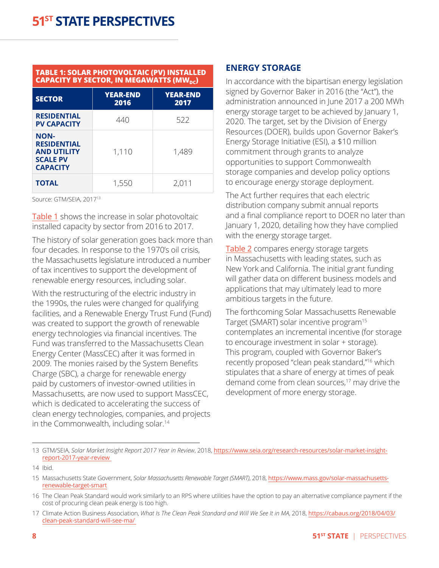#### <span id="page-7-0"></span>**TABLE 1: SOLAR PHOTOVOLTAIC (PV) INSTALLED CAPACITY BY SECTOR, IN MEGAWATTS (MW<sub>DC</sub>)**

| <b>SECTOR</b>                                                                                 | <b>YEAR-END</b><br>2016 | <b>YEAR-END</b><br>2017 |
|-----------------------------------------------------------------------------------------------|-------------------------|-------------------------|
| <b>RESIDENTIAL</b><br><b>PV CAPACITY</b>                                                      | 440                     | 522                     |
| <b>NON-</b><br><b>RESIDENTIAL</b><br><b>AND UTILITY</b><br><b>SCALE PV</b><br><b>CAPACITY</b> | 1,110                   | 1,489                   |
| <b>TOTAL</b>                                                                                  | 1,550                   | 2,011                   |

Source: GTM/SEIA, 201713

Table 1 shows the increase in solar photovoltaic installed capacity by sector from 2016 to 2017.

The history of solar generation goes back more than four decades. In response to the 1970's oil crisis, the Massachusetts legislature introduced a number of tax incentives to support the development of renewable energy resources, including solar.

With the restructuring of the electric industry in the 1990s, the rules were changed for qualifying facilities, and a Renewable Energy Trust Fund (Fund) was created to support the growth of renewable energy technologies via financial incentives. The Fund was transferred to the Massachusetts Clean Energy Center (MassCEC) after it was formed in 2009. The monies raised by the System Benefits Charge (SBC), a charge for renewable energy paid by customers of investor-owned utilities in Massachusetts, are now used to support MassCEC, which is dedicated to accelerating the success of clean energy technologies, companies, and projects in the Commonwealth, including solar.<sup>14</sup>

#### **ENERGY STORAGE**

In accordance with the bipartisan energy legislation signed by Governor Baker in 2016 (the "Act"), the administration announced in June 2017 a 200 MWh energy storage target to be achieved by January 1, 2020. The target, set by the Division of Energy Resources (DOER), builds upon Governor Baker's Energy Storage Initiative (ESI), a \$10 million commitment through grants to analyze opportunities to support Commonwealth storage companies and develop policy options to encourage energy storage deployment.

The Act further requires that each electric distribution company submit annual reports and a final compliance report to DOER no later than January 1, 2020, detailing how they have complied with the energy storage target.

Table 2 compares energy storage targets in Massachusetts with leading states, such as New York and California. The initial grant funding will gather data on different business models and applications that may ultimately lead to more ambitious targets in the future.

The forthcoming Solar Massachusetts Renewable Target (SMART) solar incentive program15 contemplates an incremental incentive (for storage to encourage investment in solar + storage). This program, coupled with Governor Baker's recently proposed "clean peak standard,"16 which stipulates that a share of energy at times of peak demand come from clean sources,<sup>17</sup> may drive the development of more energy storage.

<sup>13</sup> GTM/SEIA, *Solar Market Insight Report 2017 Year in Review*, 2018, [https://www.seia.org/research-resources/solar-market-insight](https://www.seia.org/research-resources/solar-market-insight-report-2017-year-review)[report-2017-year-review](https://www.seia.org/research-resources/solar-market-insight-report-2017-year-review)

<sup>14</sup> Ibid.

<sup>15</sup> Massachusetts State Government, *Solar Massachusetts Renewable Target (SMART)*, 2018, [https://www.mass.gov/solar-massachusetts](https://www.mass.gov/solar-massachusetts-renewable-target-smart)[renewable-target-smart](https://www.mass.gov/solar-massachusetts-renewable-target-smart)

<sup>16</sup> The Clean Peak Standard would work similarly to an RPS where utilities have the option to pay an alternative compliance payment if the cost of procuring clean peak energy is too high.

<sup>17</sup> Climate Action Business Association, *What Is The Clean Peak Standard and Will We See It in MA*, 2018, [https://cabaus.org/2018/04/03/](https://cabaus.org/2018/04/03/clean-peak-standard-will-see-ma/) [clean-peak-standard-will-see-ma/](https://cabaus.org/2018/04/03/clean-peak-standard-will-see-ma/)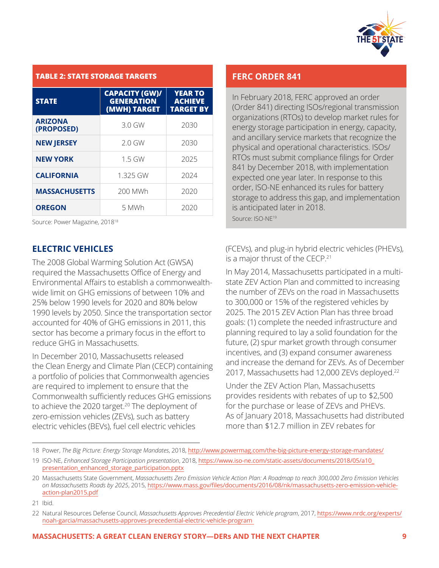

#### <span id="page-8-0"></span>**TABLE 2: STATE STORAGE TARGETS**

| <b>STATE</b>                 | <b>CAPACITY (GW)/</b><br><b>GENERATION</b><br>(MWH) TARGET | <b>YEAR TO</b><br><b>ACHIEVE</b><br><b>TARGET BY</b> |
|------------------------------|------------------------------------------------------------|------------------------------------------------------|
| <b>ARIZONA</b><br>(PROPOSED) | 3.0 GW                                                     | 2030                                                 |
| <b>NEW JERSEY</b>            | $2.0$ GW                                                   | 2030                                                 |
| <b>NEW YORK</b>              | $1.5$ GW                                                   | 2025                                                 |
| <b>CALIFORNIA</b>            | 1.325 GW                                                   | 2024                                                 |
| <b>MASSACHUSETTS</b>         | 200 MWh                                                    | 2020                                                 |
| <b>OREGON</b>                | 5 MWh                                                      | 2020                                                 |

Source: Power Magazine, 201818

#### **ELECTRIC VEHICLES**

The 2008 Global Warming Solution Act (GWSA) required the Massachusetts Office of Energy and Environmental Affairs to establish a commonwealthwide limit on GHG emissions of between 10% and 25% below 1990 levels for 2020 and 80% below 1990 levels by 2050. Since the transportation sector accounted for 40% of GHG emissions in 2011, this sector has become a primary focus in the effort to reduce GHG in Massachusetts.

In December 2010, Massachusetts released the Clean Energy and Climate Plan (CECP) containing a portfolio of policies that Commonwealth agencies are required to implement to ensure that the Commonwealth sufficiently reduces GHG emissions to achieve the 2020 target.<sup>20</sup> The deployment of zero-emission vehicles (ZEVs), such as battery electric vehicles (BEVs), fuel cell electric vehicles

#### **FERC ORDER 841**

In February 2018, FERC approved an order (Order 841) directing ISOs/regional transmission organizations (RTOs) to develop market rules for energy storage participation in energy, capacity, and ancillary service markets that recognize the physical and operational characteristics. ISOs/ RTOs must submit compliance filings for Order 841 by December 2018, with implementation expected one year later. In response to this order, ISO-NE enhanced its rules for battery storage to address this gap, and implementation is anticipated later in 2018. Source: ISO-NE<sup>19</sup>

(FCEVs), and plug-in hybrid electric vehicles (PHEVs), is a major thrust of the CECP.<sup>21</sup>

In May 2014, Massachusetts participated in a multistate ZEV Action Plan and committed to increasing the number of ZEVs on the road in Massachusetts to 300,000 or 15% of the registered vehicles by 2025. The 2015 ZEV Action Plan has three broad goals: (1) complete the needed infrastructure and planning required to lay a solid foundation for the future, (2) spur market growth through consumer incentives, and (3) expand consumer awareness and increase the demand for ZEVs. As of December 2017, Massachusetts had 12,000 ZEVs deployed.<sup>22</sup>

Under the ZEV Action Plan, Massachusetts provides residents with rebates of up to \$2,500 for the purchase or lease of ZEVs and PHEVs. As of January 2018, Massachusetts had distributed more than \$12.7 million in ZEV rebates for

<sup>18</sup> Power, *The Big Picture: Energy Storage Mandates*, 2018, <http://www.powermag.com/the-big-picture-energy-storage-mandates/>

<sup>19</sup> ISO-NE, *Enhanced Storage Participation presentation*, 2018, [https://www.iso-ne.com/static-assets/documents/2018/05/a10\\_](https://www.iso-ne.com/static-assets/documents/2018/05/a10_presentation_enhanced_storage_participation.pptx) [presentation\\_enhanced\\_storage\\_participation.pptx](https://www.iso-ne.com/static-assets/documents/2018/05/a10_presentation_enhanced_storage_participation.pptx)

<sup>20</sup> Massachusetts State Government, *Massachusetts Zero Emission Vehicle Action Plan: A Roadmap to reach 300,000 Zero Emission Vehicles on Massachusetts Roads by 2025*, 2015, [https://www.mass.gov/files/documents/2016/08/nk/massachusetts-zero-emission-vehicle](https://www.mass.gov/files/documents/2016/08/nk/massachusetts-zero-emission-vehicle-action-plan2015.pdf)[action-plan2015.pdf](https://www.mass.gov/files/documents/2016/08/nk/massachusetts-zero-emission-vehicle-action-plan2015.pdf)

<sup>21</sup> Ibid.

<sup>22</sup> Natural Resources Defense Council, *Massachusetts Approves Precedential Electric Vehicle program*, 2017, [https://www.nrdc.org/experts/](https://www.nrdc.org/experts/noah-garcia/massachusetts-approves-precedential-electric-vehicle-program) [noah-garcia/massachusetts-approves-precedential-electric-vehicle-program](https://www.nrdc.org/experts/noah-garcia/massachusetts-approves-precedential-electric-vehicle-program)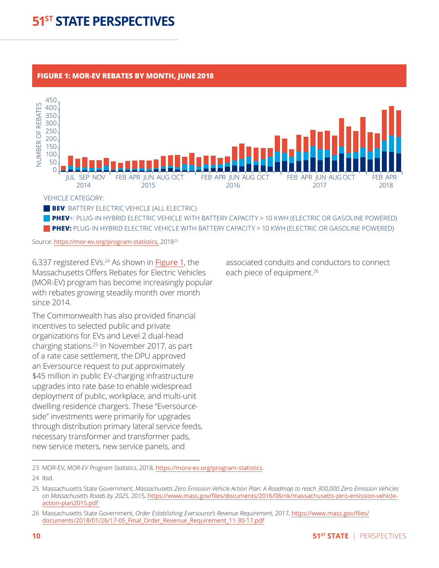#### <span id="page-9-0"></span>**FIGURE 1: MOR-EV REBATES BY MONTH, JUNE 2018**



VEHICLE CATEGORY:

**BEV: BATTERY ELECTRIC VEHICLE (ALL ELECTRIC)** 

**PHEV**+: PLUG-IN HYBRID ELECTRIC VEHICLE WITH BATTERY CAPACITY > 10 KWH (ELECTRIC OR GASOLINE POWERED)  **PHEV:** PLUG-IN HYBRID ELECTRIC VEHICLE WITH BATTERY CAPACITY > 10 KWH (ELECTRIC OR GASOLINE POWERED)

Source: <https://mor-ev.org/program-statistics,> 2018<sup>23</sup>

6,337 registered EVs.24 As shown in [Figure 1](#page-9-0), the Massachusetts Offers Rebates for Electric Vehicles (MOR-EV) program has become increasingly popular with rebates growing steadily month over month since 2014.

The Commonwealth has also provided financial incentives to selected public and private organizations for EVs and Level 2 dual-head charging stations.25 In November 2017, as part of a rate case settlement, the DPU approved an Eversource request to put approximately \$45 million in public EV-charging infrastructure upgrades into rate base to enable widespread deployment of public, workplace, and multi-unit dwelling residence chargers. These "Eversourceside" investments were primarily for upgrades through distribution primary lateral service feeds, necessary transformer and transformer pads, new service meters, new service panels, and

associated conduits and conductors to connect each piece of equipment.<sup>26</sup>

24 Ibid.

<sup>23</sup> MOR-EV, *MOR-EV Program Statistics*, 2018, <https://more-ev.org/program-statistics>.

<sup>25</sup> Massachusetts State Government, *Massachusetts Zero Emission Vehicle Action Plan: A Roadmap to reach 300,000 Zero Emission Vehicles on Massachusetts Roads by 2025*, 2015, [https://www.mass.gov/files/documents/2016/08/nk/massachusetts-zero-emission-vehicle](https://www.mass.gov/files/documents/2016/08/nk/massachusetts-zero-emission-vehicle-action-plan2015.pdf)[action-plan2015.pdf](https://www.mass.gov/files/documents/2016/08/nk/massachusetts-zero-emission-vehicle-action-plan2015.pdf)

<sup>26</sup> Massachusetts State Government, *Order Establishing Eversource's Revenue Requirement*, 2017, [https://www.mass.gov/files/](https://www.mass.gov/files/documents/2018/01/26/17-05_Final_Order_Revenue_Requirement_11-30-17.pdf) [documents/2018/01/26/17-05\\_Final\\_Order\\_Revenue\\_Requirement\\_11-30-17.pdf](https://www.mass.gov/files/documents/2018/01/26/17-05_Final_Order_Revenue_Requirement_11-30-17.pdf)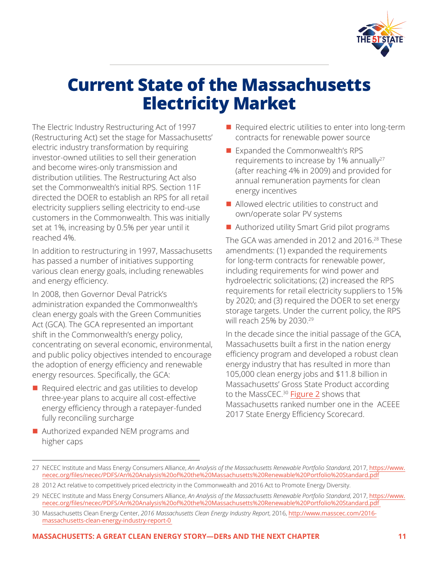

# <span id="page-10-0"></span>**Current State of the Massachusetts Electricity Market**

The Electric Industry Restructuring Act of 1997 (Restructuring Act) set the stage for Massachusetts' electric industry transformation by requiring investor-owned utilities to sell their generation and become wires-only transmission and distribution utilities. The Restructuring Act also set the Commonwealth's initial RPS. Section 11F directed the DOER to establish an RPS for all retail electricity suppliers selling electricity to end-use customers in the Commonwealth. This was initially set at 1%, increasing by 0.5% per year until it reached 4%.

In addition to restructuring in 1997, Massachusetts has passed a number of initiatives supporting various clean energy goals, including renewables and energy efficiency.

In 2008, then Governor Deval Patrick's administration expanded the Commonwealth's clean energy goals with the Green Communities Act (GCA). The GCA represented an important shift in the Commonwealth's energy policy, concentrating on several economic, environmental, and public policy objectives intended to encourage the adoption of energy efficiency and renewable energy resources. Specifically, the GCA:

- $\blacksquare$  Required electric and gas utilities to develop three-year plans to acquire all cost-effective energy efficiency through a ratepayer-funded fully reconciling surcharge
- $\blacksquare$  Authorized expanded NEM programs and higher caps
- $\blacksquare$  Required electric utilities to enter into long-term contracts for renewable power source
- Expanded the Commonwealth's RPS requirements to increase by 1% annually $27$ (after reaching 4% in 2009) and provided for annual remuneration payments for clean energy incentives
- $\blacksquare$  Allowed electric utilities to construct and own/operate solar PV systems
- Authorized utility Smart Grid pilot programs

The GCA was amended in 2012 and 2016.<sup>28</sup> These amendments: (1) expanded the requirements for long-term contracts for renewable power, including requirements for wind power and hydroelectric solicitations; (2) increased the RPS requirements for retail electricity suppliers to 15% by 2020; and (3) required the DOER to set energy storage targets. Under the current policy, the RPS will reach 25% by 2030.<sup>29</sup>

In the decade since the initial passage of the GCA, Massachusetts built a first in the nation energy efficiency program and developed a robust clean energy industry that has resulted in more than 105,000 clean energy jobs and \$11.8 billion in Massachusetts' Gross State Product according to the MassCEC.<sup>30</sup> [Figure 2](#page-11-1) shows that Massachusetts ranked number one in the ACEEE 2017 State Energy Efficiency Scorecard.

<sup>27</sup> NECEC Institute and Mass Energy Consumers Alliance, *An Analysis of the Massachusetts Renewable Portfolio Standard*, 2017, [https://www.](https://www.necec.org/files/necec/PDFS/An%20Analysis%20of%20the%20Massachusetts%20Renewable%20Portfolio%20Standard.pdf) [necec.org/files/necec/PDFS/An%20Analysis%20of%20the%20Massachusetts%20Renewable%20Portfolio%20Standard.pdf](https://www.necec.org/files/necec/PDFS/An%20Analysis%20of%20the%20Massachusetts%20Renewable%20Portfolio%20Standard.pdf)

<sup>28</sup> 2012 Act relative to competitively priced electricity in the Commonwealth and 2016 Act to Promote Energy Diversity.

<sup>29</sup> NECEC Institute and Mass Energy Consumers Alliance, *An Analysis of the Massachusetts Renewable Portfolio Standard*, 2017, [https://www.](https://www.necec.org/files/necec/PDFS/An%20Analysis%20of%20the%20Massachusetts%20Renewable%20Portfolio%20Standard.pdf) [necec.org/files/necec/PDFS/An%20Analysis%20of%20the%20Massachusetts%20Renewable%20Portfolio%20Standard.pdf](https://www.necec.org/files/necec/PDFS/An%20Analysis%20of%20the%20Massachusetts%20Renewable%20Portfolio%20Standard.pdf)

<sup>30</sup> Massachusetts Clean Energy Center, *2016 Massachusetts Clean Energy Industry Report*, 2016, [http://www.masscec.com/2016](http://www.masscec.com/2016-massachusetts-clean-energy-industry-report-0) [massachusetts-clean-energy-industry-report-0](http://www.masscec.com/2016-massachusetts-clean-energy-industry-report-0)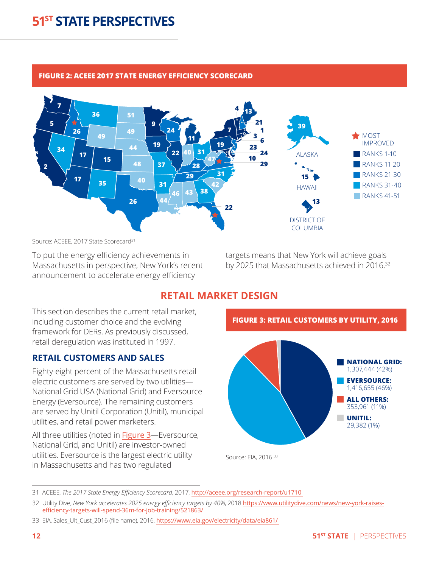#### <span id="page-11-1"></span>**FIGURE 2: ACEEE 2017 STATE ENERGY EFFICIENCY SCORECARD**



Source: ACEEE, 2017 State Scorecard<sup>31</sup>

To put the energy efficiency achievements in Massachusetts in perspective, New York's recent announcement to accelerate energy efficiency

targets means that New York will achieve goals by 2025 that Massachusetts achieved in 2016.<sup>32</sup>

#### **RETAIL MARKET DESIGN**

This section describes the current retail market, including customer choice and the evolving framework for DERs. As previously discussed, retail deregulation was instituted in 1997.

#### **RETAIL CUSTOMERS AND SALES**

Eighty-eight percent of the Massachusetts retail electric customers are served by two utilities— National Grid USA (National Grid) and Eversource Energy (Eversource). The remaining customers are served by Unitil Corporation (Unitil), municipal utilities, and retail power marketers.

All three utilities (noted in [Figure 3](#page-11-2)-Eversource, National Grid, and Unitil) are investor-owned utilities. Eversource is the largest electric utility in Massachusetts and has two regulated

<span id="page-11-2"></span><span id="page-11-0"></span>

<sup>31</sup> ACEEE, *The 2017 State Energy Efficiency Scorecard*, 2017, <http://aceee.org/research-report/u1710>

<sup>32</sup> Utility Dive, *New York accelerates 2025 energy efficiency targets by 40%*, 2018 [https://www.utilitydive.com/news/new-york-raises](https://www.utilitydive.com/news/new-york-raises-efficiency-targets-will-spend-36m-for-job-training/521863/)[efficiency-targets-will-spend-36m-for-job-training/521863/](https://www.utilitydive.com/news/new-york-raises-efficiency-targets-will-spend-36m-for-job-training/521863/)

<sup>33</sup> EIA, Sales\_Ult\_Cust\_2016 (file name), 2016, <https://www.eia.gov/electricity/data/eia861/>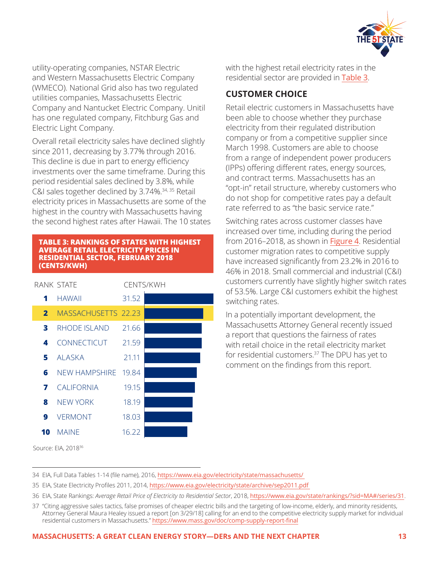

utility-operating companies, NSTAR Electric and Western Massachusetts Electric Company (WMECO). National Grid also has two regulated utilities companies, Massachusetts Electric Company and Nantucket Electric Company. Unitil has one regulated company, Fitchburg Gas and Electric Light Company.

Overall retail electricity sales have declined slightly since 2011, decreasing by 3.77% through 2016. This decline is due in part to energy efficiency investments over the same timeframe. During this period residential sales declined by 3.8%, while C&I sales together declined by 3.74%.34, 35 Retail electricity prices in Massachusetts are some of the highest in the country with Massachusetts having the second highest rates after Hawaii. The 10 states

#### <span id="page-12-0"></span>**TABLE 3: RANKINGS OF STATES WITH HIGHEST AVERAGE RETAIL ELECTRICITY PRICES IN RESIDENTIAL SECTOR, FEBRUARY 2018 (CENTS/KWH)**

|              | RANK STATE                 |       | CENTS/KWH |
|--------------|----------------------------|-------|-----------|
| 1            | HAWAII                     | 31.52 |           |
| $\mathbf{2}$ | <b>MASSACHUSETTS 22.23</b> |       |           |
| 3            | RHODE ISLAND               | 21.66 |           |
| 4            | CONNECTICUT                | 21.59 |           |
|              | 5 ALASKA                   | 21.11 |           |
| 6            | NEW HAMPSHIRE 19.84        |       |           |
| 7            | CALIFORNIA                 | 19.15 |           |
| 8            | <b>NEW YORK</b>            | 18.19 |           |
| 9            | VERMONT                    | 18.03 |           |
| 10           | <b>MAINE</b>               | 16.22 |           |

with the highest retail electricity rates in the residential sector are provided in [Table 3](#page-12-0).

#### **CUSTOMER CHOICE**

Retail electric customers in Massachusetts have been able to choose whether they purchase electricity from their regulated distribution company or from a competitive supplier since March 1998. Customers are able to choose from a range of independent power producers (IPPs) offering different rates, energy sources, and contract terms. Massachusetts has an "opt-in" retail structure, whereby customers who do not shop for competitive rates pay a default rate referred to as "the basic service rate."

Switching rates across customer classes have increased over time, including during the period from 2016–2018, as shown in [Figure 4](#page-13-0). Residential customer migration rates to competitive supply have increased significantly from 23.2% in 2016 to 46% in 2018. Small commercial and industrial (C&I) customers currently have slightly higher switch rates of 53.5%. Large C&I customers exhibit the highest switching rates.

In a potentially important development, the Massachusetts Attorney General recently issued a report that questions the fairness of rates with retail choice in the retail electricity market for residential customers.<sup>37</sup> The DPU has yet to comment on the findings from this report.

Source: EIA, 201836

- 34 EIA, Full Data Tables 1-14 (file name), 2016, <https://www.eia.gov/electricity/state/massachusetts/>
- 35 EIA, State Electricity Profiles 2011, 2014, <https://www.eia.gov/electricity/state/archive/sep2011.pdf>
- 36 EIA, State Rankings: *Average Retail Price of Electricity to Residential Sector*, 2018, [https://www.eia.gov/state/rankings/?sid=MA#/series/3](https://www.eia.gov/state/rankings/?sid=MA#/series/31)1.

<sup>37 &</sup>quot;Citing aggressive sales tactics, false promises of cheaper electric bills and the targeting of low-income, elderly, and minority residents, Attorney General Maura Healey issued a report [on 3/29/18] calling for an end to the competitive electricity supply market for individual residential customers in Massachusetts." <https://www.mass.gov/doc/comp-supply-report-final>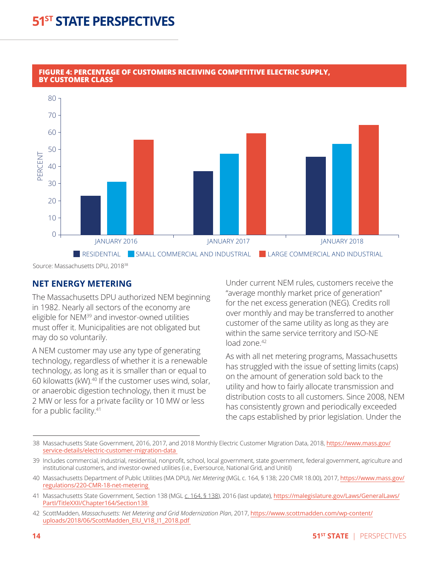

#### <span id="page-13-0"></span>**FIGURE 4: PERCENTAGE OF CUSTOMERS RECEIVING COMPETITIVE ELECTRIC SUPPLY, BY CUSTOMER CLASS**

Source: Massachusetts DPU, 201838

#### **NET ENERGY METERING**

The Massachusetts DPU authorized NEM beginning in 1982. Nearly all sectors of the economy are eligible for NEM<sup>39</sup> and investor-owned utilities must offer it. Municipalities are not obligated but may do so voluntarily.

A NEM customer may use any type of generating technology, regardless of whether it is a renewable technology, as long as it is smaller than or equal to 60 kilowatts (kW).<sup>40</sup> If the customer uses wind, solar, or anaerobic digestion technology, then it must be 2 MW or less for a private facility or 10 MW or less for a public facility.<sup>41</sup>

Under current NEM rules, customers receive the "average monthly market price of generation" for the net excess generation (NEG). Credits roll over monthly and may be transferred to another customer of the same utility as long as they are within the same service territory and ISO-NE load zone.<sup>42</sup>

As with all net metering programs, Massachusetts has struggled with the issue of setting limits (caps) on the amount of generation sold back to the utility and how to fairly allocate transmission and distribution costs to all customers. Since 2008, NEM has consistently grown and periodically exceeded the caps established by prior legislation. Under the

<sup>38</sup> Massachusetts State Government, 2016, 2017, and 2018 Monthly Electric Customer Migration Data, 2018, [https://www.mass.gov/](https://www.mass.gov/service-details/electric-customer-migration-data) [service-details/electric-customer-migration-data](https://www.mass.gov/service-details/electric-customer-migration-data)

<sup>39</sup> Includes commercial, industrial, residential, nonprofit, school, local government, state government, federal government, agriculture and institutional customers, and investor-owned utilities (i.e., Eversource, National Grid, and Unitil)

<sup>40</sup> Massachusetts Department of Public Utilities (MA DPU), *Net Metering* (MGL c. 164, § 138; 220 CMR 18.00), 2017, [https://www.mass.gov/](https://www.mass.gov/regulations/220-CMR-18-net-metering) [regulations/220-CMR-18-net-metering](https://www.mass.gov/regulations/220-CMR-18-net-metering)

<sup>41</sup> Massachusetts State Government, Section 138 (MGL c. 164, § 138), 2016 (last update), [https://malegislature.gov/Laws/GeneralLaws/](https://malegislature.gov/Laws/GeneralLaws/PartI/TitleXXII/Chapter164/Section138) [PartI/TitleXXII/Chapter164/Section138](https://malegislature.gov/Laws/GeneralLaws/PartI/TitleXXII/Chapter164/Section138)

<sup>42</sup> ScottMadden, *Massachusetts: Net Metering and Grid Modernization Plan*, 2017, [https://www.scottmadden.com/wp-content/](https://www.scottmadden.com/wp-content/uploads/2018/06/ScottMadden_EIU_V18_I1_2018.pdf) [uploads/2018/06/ScottMadden\\_EIU\\_V18\\_I1\\_2018.pdf](https://www.scottmadden.com/wp-content/uploads/2018/06/ScottMadden_EIU_V18_I1_2018.pdf)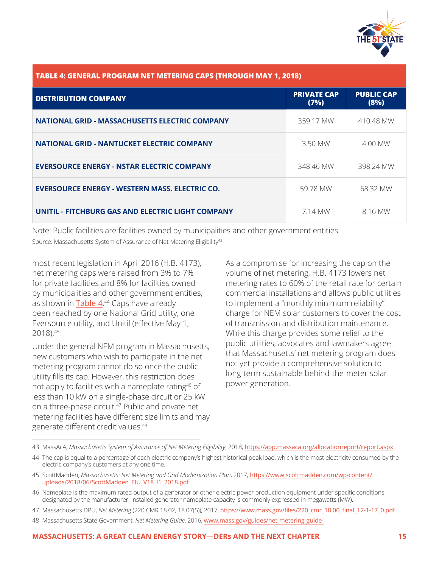

<span id="page-14-0"></span>

| TABLE 4: GENERAL PROGRAM NET METERING CAPS (THROUGH MAY 1, 2018) |                            |                           |  |  |
|------------------------------------------------------------------|----------------------------|---------------------------|--|--|
| <b>DISTRIBUTION COMPANY</b>                                      | <b>PRIVATE CAP</b><br>(7%) | <b>PUBLIC CAP</b><br>(8%) |  |  |
| <b>NATIONAL GRID - MASSACHUSETTS ELECTRIC COMPANY</b>            | 359.17 MW                  | 410.48 MW                 |  |  |
| <b>NATIONAL GRID - NANTUCKET ELECTRIC COMPANY</b>                | 3.50 MW                    | 4.00 MW                   |  |  |
| <b>EVERSOURCE ENERGY - NSTAR ELECTRIC COMPANY</b>                | 348.46 MW                  | 398.24 MW                 |  |  |
| <b>EVERSOURCE ENERGY - WESTERN MASS. ELECTRIC CO.</b>            | 59.78 MW                   | 68.32 MW                  |  |  |
| UNITIL - FITCHBURG GAS AND ELECTRIC LIGHT COMPANY                | 7.14 MW                    | 8.16 MW                   |  |  |

Note: Public facilities are facilities owned by municipalities and other government entities. Source: Massachusetts System of Assurance of Net Metering Eligibility<sup>43</sup>

most recent legislation in April 2016 (H.B. 4173), net metering caps were raised from 3% to 7% for private facilities and 8% for facilities owned by municipalities and other government entities, as shown in Table 4.<sup>44</sup> Caps have already been reached by one National Grid utility, one Eversource utility, and Unitil (effective May 1, 2018).45

Under the general NEM program in Massachusetts, new customers who wish to participate in the net metering program cannot do so once the public utility fills its cap. However, this restriction does not apply to facilities with a nameplate rating<sup>46</sup> of less than 10 kW on a single-phase circuit or 25 kW on a three-phase circuit.<sup>47</sup> Public and private net metering facilities have different size limits and may generate different credit values.<sup>48</sup>

As a compromise for increasing the cap on the volume of net metering, H.B. 4173 lowers net metering rates to 60% of the retail rate for certain commercial installations and allows public utilities to implement a "monthly minimum reliability" charge for NEM solar customers to cover the cost of transmission and distribution maintenance. While this charge provides some relief to the public utilities, advocates and lawmakers agree that Massachusetts' net metering program does not yet provide a comprehensive solution to long-term sustainable behind-the-meter solar power generation.

- 44 The cap is equal to a percentage of each electric company's highest historical peak load, which is the most electricity consumed by the electric company's customers at any one time.
- 45 ScottMadden, *Massachusetts: Net Metering and Grid Modernization Plan*, 2017, [https://www.scottmadden.com/wp-content/](https://www.scottmadden.com/wp-content/uploads/2018/06/ScottMadden_EIU_V18_I1_2018.pdf) [uploads/2018/06/ScottMadden\\_EIU\\_V18\\_I1\\_2018.pdf](https://www.scottmadden.com/wp-content/uploads/2018/06/ScottMadden_EIU_V18_I1_2018.pdf)
- 46 Nameplate is the maximum rated output of a generator or other electric power production equipment under specific conditions designated by the manufacturer. Installed generator nameplate capacity is commonly expressed in megawatts (MW).
- 47 Massachusetts DPU, *Net Metering* (220 CMR 18.02, 18.07(5)), 2017, [https://www.mass.gov/files/220\\_cmr\\_18.00\\_final\\_12-1-17\\_0.pdf](https://www.mass.gov/files/220_cmr_18.00_final_12-1-17_0.pdf)
- 48 Massachusetts State Government, *Net Metering Guide*, 2016, [www.mass.gov/guides/net-metering-guide](http://www.mass.gov/guides/net-metering-guide)

<sup>43</sup> MassAcA, *Massachusetts System of Assurance of Net Metering Eligibility*, 2018, <https://app.massaca.org/allocationreport/report.aspx>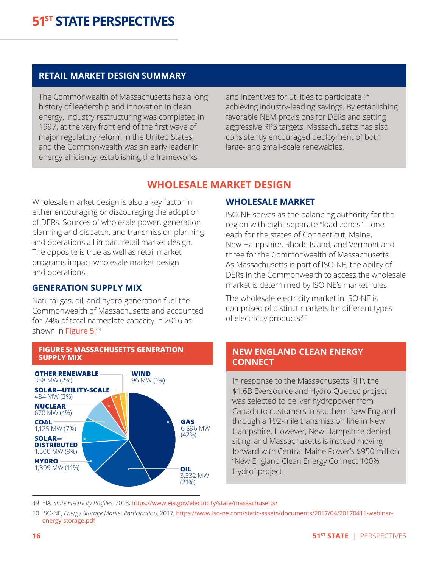#### **RETAIL MARKET DESIGN SUMMARY**

The Commonwealth of Massachusetts has a long history of leadership and innovation in clean energy. Industry restructuring was completed in 1997, at the very front end of the first wave of major regulatory reform in the United States, and the Commonwealth was an early leader in energy efficiency, establishing the frameworks

and incentives for utilities to participate in achieving industry-leading savings. By establishing favorable NEM provisions for DERs and setting aggressive RPS targets, Massachusetts has also consistently encouraged deployment of both large- and small-scale renewables.

#### **WHOLESALE MARKET DESIGN**

Wholesale market design is also a key factor in either encouraging or discouraging the adoption of DERs. Sources of wholesale power, generation planning and dispatch, and transmission planning and operations all impact retail market design. The opposite is true as well as retail market programs impact wholesale market design and operations.

#### **GENERATION SUPPLY MIX**

Natural gas, oil, and hydro generation fuel the Commonwealth of Massachusetts and accounted for 74% of total nameplate capacity in 2016 as shown in <mark>[Figure 5](#page-15-1)</mark>.<sup>49</sup>



#### <span id="page-15-1"></span>**FIGURE 5: MASSACHUSETTS GENERATION SUPPLY MIX**

#### <span id="page-15-0"></span>**WHOLESALE MARKET**

ISO-NE serves as the balancing authority for the region with eight separate "load zones"—one each for the states of Connecticut, Maine, New Hampshire, Rhode Island, and Vermont and three for the Commonwealth of Massachusetts. As Massachusetts is part of ISO-NE, the ability of DERs in the Commonwealth to access the wholesale market is determined by ISO-NE's market rules.

The wholesale electricity market in ISO-NE is comprised of distinct markets for different types of electricity products:<sup>50</sup>

#### **NEW ENGLAND CLEAN ENERGY CONNECT**

In response to the Massachusetts RFP, the \$1.6B Eversource and Hydro Quebec project was selected to deliver hydropower from Canada to customers in southern New England through a 192-mile transmission line in New Hampshire. However, New Hampshire denied siting, and Massachusetts is instead moving forward with Central Maine Power's \$950 million "New England Clean Energy Connect 100% Hydro" project.

49 EIA, *State Electricity Profile*s, 2018, <https://www.eia.gov/electricity/state/massachusetts/>

<sup>50</sup> ISO-NE, *Energy Storage Market Participatio*n, 2017, [https://www.iso-ne.com/static-assets/documents/2017/04/20170411-webinar](https://www.iso-ne.com/static-assets/documents/2017/04/20170411-webinar-energy-storage.pdf)[energy-storage.pdf](https://www.iso-ne.com/static-assets/documents/2017/04/20170411-webinar-energy-storage.pdf)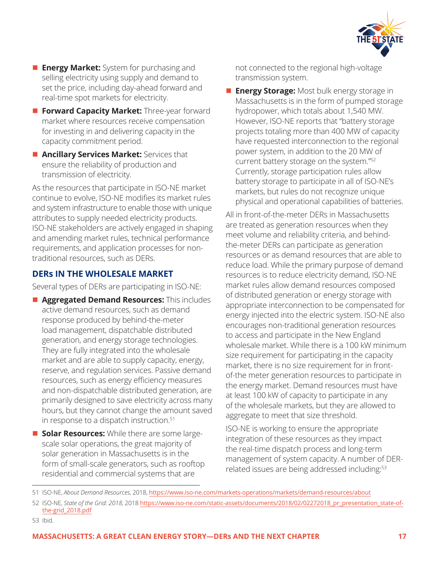

- **Energy Market:** System for purchasing and selling electricity using supply and demand to set the price, including day-ahead forward and real-time spot markets for electricity.
- **Forward Capacity Market:** Three-year forward market where resources receive compensation for investing in and delivering capacity in the capacity commitment period.
- **n Ancillary Services Market:** Services that ensure the reliability of production and transmission of electricity.

As the resources that participate in ISO-NE market continue to evolve, ISO-NE modifies its market rules and system infrastructure to enable those with unique attributes to supply needed electricity products. ISO-NE stakeholders are actively engaged in shaping and amending market rules, technical performance requirements, and application processes for nontraditional resources, such as DERs.

#### **DERs IN THE WHOLESALE MARKET**

Several types of DERs are participating in ISO-NE:

- **n** Aggregated Demand Resources: This includes active demand resources, such as demand response produced by behind-the-meter load management, dispatchable distributed generation, and energy storage technologies. They are fully integrated into the wholesale market and are able to supply capacity, energy, reserve, and regulation services. Passive demand resources, such as energy efficiency measures and non-dispatchable distributed generation, are primarily designed to save electricity across many hours, but they cannot change the amount saved in response to a dispatch instruction.<sup>51</sup>
- **n** Solar Resources: While there are some largescale solar operations, the great majority of solar generation in Massachusetts is in the form of small-scale generators, such as rooftop residential and commercial systems that are

not connected to the regional high-voltage transmission system.

**Energy Storage:** Most bulk energy storage in Massachusetts is in the form of pumped storage hydropower, which totals about 1,540 MW. However, ISO-NE reports that "battery storage projects totaling more than 400 MW of capacity have requested interconnection to the regional power system, in addition to the 20 MW of current battery storage on the system."52 Currently, storage participation rules allow battery storage to participate in all of ISO-NE's markets, but rules do not recognize unique physical and operational capabilities of batteries.

All in front-of-the-meter DERs in Massachusetts are treated as generation resources when they meet volume and reliability criteria, and behindthe-meter DERs can participate as generation resources or as demand resources that are able to reduce load. While the primary purpose of demand resources is to reduce electricity demand, ISO-NE market rules allow demand resources composed of distributed generation or energy storage with appropriate interconnection to be compensated for energy injected into the electric system. ISO-NE also encourages non-traditional generation resources to access and participate in the New England wholesale market. While there is a 100 kW minimum size requirement for participating in the capacity market, there is no size requirement for in frontof-the meter generation resources to participate in the energy market. Demand resources must have at least 100 kW of capacity to participate in any of the wholesale markets, but they are allowed to aggregate to meet that size threshold.

ISO-NE is working to ensure the appropriate integration of these resources as they impact the real-time dispatch process and long-term management of system capacity. A number of DERrelated issues are being addressed including:<sup>53</sup>

<sup>51</sup> ISO-NE, *About Demand Resources*, 2018, <https://www.iso-ne.com/markets-operations/markets/demand-resources/about>

<sup>52</sup> ISO-NE, *State of the Grid: 2018*, 2018 [https://www.iso-ne.com/static-assets/documents/2018/02/02272018\\_pr\\_presentation\\_state-of](https://www.iso-ne.com/static-assets/documents/2018/02/02272018_pr_presentation_state-of-the-grid_2018.pdf)[the-grid\\_2018.pdf](https://www.iso-ne.com/static-assets/documents/2018/02/02272018_pr_presentation_state-of-the-grid_2018.pdf)

<sup>53</sup> Ibid.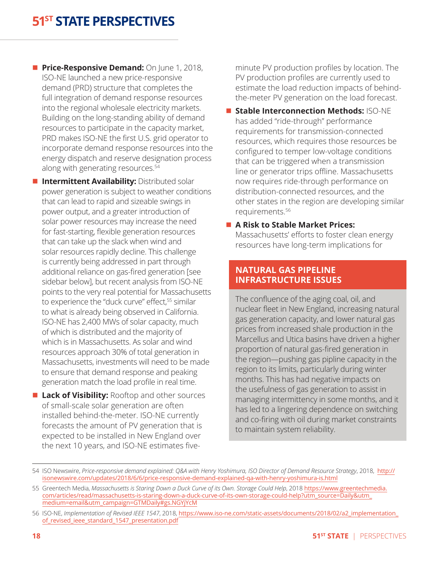- **n** Price-Responsive Demand: On June 1, 2018, ISO-NE launched a new price-responsive demand (PRD) structure that completes the full integration of demand response resources into the regional wholesale electricity markets. Building on the long-standing ability of demand resources to participate in the capacity market, PRD makes ISO-NE the first U.S. grid operator to incorporate demand response resources into the energy dispatch and reserve designation process along with generating resources.54
- **n Intermittent Availability: Distributed solar** power generation is subject to weather conditions that can lead to rapid and sizeable swings in power output, and a greater introduction of solar power resources may increase the need for fast-starting, flexible generation resources that can take up the slack when wind and solar resources rapidly decline. This challenge is currently being addressed in part through additional reliance on gas-fired generation [see sidebar below], but recent analysis from ISO-NE points to the very real potential for Massachusetts to experience the "duck curve" effect,<sup>55</sup> similar to what is already being observed in California. ISO-NE has 2,400 MWs of solar capacity, much of which is distributed and the majority of which is in Massachusetts. As solar and wind resources approach 30% of total generation in Massachusetts, investments will need to be made to ensure that demand response and peaking generation match the load profile in real time.
- **Lack of Visibility:** Rooftop and other sources of small-scale solar generation are often installed behind-the-meter. ISO-NE currently forecasts the amount of PV generation that is expected to be installed in New England over the next 10 years, and ISO-NE estimates five-

minute PV production profiles by location. The PV production profiles are currently used to estimate the load reduction impacts of behindthe-meter PV generation on the load forecast.

- **E Stable Interconnection Methods: ISO-NE** has added "ride-through" performance requirements for transmission-connected resources, which requires those resources be configured to temper low-voltage conditions that can be triggered when a transmission line or generator trips offline. Massachusetts now requires ride-through performance on distribution-connected resources, and the other states in the region are developing similar requirements.56
- A Risk to Stable Market Prices:

Massachusetts' efforts to foster clean energy resources have long-term implications for

#### **NATURAL GAS PIPELINE INFRASTRUCTURE ISSUES**

The confluence of the aging coal, oil, and nuclear fleet in New England, increasing natural gas generation capacity, and lower natural gas prices from increased shale production in the Marcellus and Utica basins have driven a higher proportion of natural gas-fired generation in the region—pushing gas pipline capacity in the region to its limits, particularly during winter months. This has had negative impacts on the usefulness of gas generation to assist in managing intermittency in some months, and it has led to a lingering dependence on switching and co-firing with oil during market constraints to maintain system reliability.

<sup>54</sup> ISO Newswire, *Price-responsive demand explained: Q&A with Henry Yoshimura, ISO Director of Demand Resource Strategy*, 2018, [http://](http://isonewswire.com/updates/2018/6/6/price-responsive-demand-explained-qa-with-henry-yoshimura-is.html) [isonewswire.com/updates/2018/6/6/price-responsive-demand-explained-qa-with-henry-yoshimura-is.html](http://isonewswire.com/updates/2018/6/6/price-responsive-demand-explained-qa-with-henry-yoshimura-is.html)

<sup>55</sup> Greentech Media, Massachusetts is Staring Down a Duck Curve of its Own. Storage Could Help, 2018 [https://www.greentechmedia.](https://www.greentechmedia.com/articles/read/massachusetts-is-staring-down-a-duck-curve-of-its-own-storage-could-help?utm_source=Daily&utm_medium=email&utm_campaign=GTMDaily#gs.NGYjYcM) [com/articles/read/massachusetts-is-staring-down-a-duck-curve-of-its-own-storage-could-help?utm\\_source=Daily&utm\\_](https://www.greentechmedia.com/articles/read/massachusetts-is-staring-down-a-duck-curve-of-its-own-storage-could-help?utm_source=Daily&utm_medium=email&utm_campaign=GTMDaily#gs.NGYjYcM) [medium=email&utm\\_campaign=GTMDaily#gs.NGYjYcM](https://www.greentechmedia.com/articles/read/massachusetts-is-staring-down-a-duck-curve-of-its-own-storage-could-help?utm_source=Daily&utm_medium=email&utm_campaign=GTMDaily#gs.NGYjYcM)

<sup>56</sup> ISO-NE, *Implementation of Revised IEEE 1547*, 2018, [https://www.iso-ne.com/static-assets/documents/2018/02/a2\\_implementation\\_](https://www.iso-ne.com/static-assets/documents/2018/02/a2_implementation_of_revised_ieee_standard_1547_presentation.pdf) [of\\_revised\\_ieee\\_standard\\_1547\\_presentation.pdf](https://www.iso-ne.com/static-assets/documents/2018/02/a2_implementation_of_revised_ieee_standard_1547_presentation.pdf)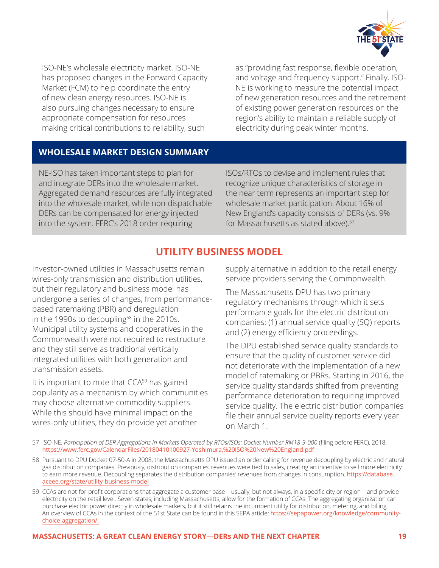

ISO-NE's wholesale electricity market. ISO-NE has proposed changes in the Forward Capacity Market (FCM) to help coordinate the entry of new clean energy resources. ISO-NE is also pursuing changes necessary to ensure appropriate compensation for resources making critical contributions to reliability, such

as "providing fast response, flexible operation, and voltage and frequency support." Finally, ISO-NE is working to measure the potential impact of new generation resources and the retirement of existing power generation resources on the region's ability to maintain a reliable supply of electricity during peak winter months.

#### **WHOLESALE MARKET DESIGN SUMMARY**

NE-ISO has taken important steps to plan for and integrate DERs into the wholesale market. Aggregated demand resources are fully integrated into the wholesale market, while non-dispatchable DERs can be compensated for energy injected into the system. FERC's 2018 order requiring

ISOs/RTOs to devise and implement rules that recognize unique characteristics of storage in the near term represents an important step for wholesale market participation. About 16% of New England's capacity consists of DERs (vs. 9% for Massachusetts as stated above).<sup>57</sup>

#### **UTILITY BUSINESS MODEL**

Investor-owned utilities in Massachusetts remain wires-only transmission and distribution utilities, but their regulatory and business model has undergone a series of changes, from performancebased ratemaking (PBR) and deregulation in the 1990s to decoupling<sup>58</sup> in the 2010s. Municipal utility systems and cooperatives in the Commonwealth were not required to restructure and they still serve as traditional vertically integrated utilities with both generation and transmission assets.

It is important to note that CCA<sup>59</sup> has gained popularity as a mechanism by which communities may choose alternative commodity suppliers. While this should have minimal impact on the wires-only utilities, they do provide yet another

<span id="page-18-0"></span>supply alternative in addition to the retail energy service providers serving the Commonwealth.

The Massachusetts DPU has two primary regulatory mechanisms through which it sets performance goals for the electric distribution companies: (1) annual service quality (SQ) reports and (2) energy efficiency proceedings.

The DPU established service quality standards to ensure that the quality of customer service did not deteriorate with the implementation of a new model of ratemaking or PBRs. Starting in 2016, the service quality standards shifted from preventing performance deterioration to requiring improved service quality. The electric distribution companies file their annual service quality reports every year on March 1.

<sup>57</sup> ISO-NE, *Participation of DER Aggregations in Markets Operated by RTOs/ISOs: Docket Number RM18-9-000* (filing before FERC), 2018, <https://www.ferc.gov/CalendarFiles/20180410100927-Yoshimura,%20ISO%20New%20England.pdf>

<sup>58</sup> Pursuant to DPU Docket 07-50-A in 2008, the Massachusetts DPU issued an order calling for revenue decoupling by electric and natural gas distribution companies. Previously, distribution companies' revenues were tied to sales, creating an incentive to sell more electricity to earn more revenue. Decoupling separates the distribution companies' revenues from changes in consumption. [https://database.](https://database.aceee.org/state/utility-business-mode) [aceee.org/state/utility-business-mode](https://database.aceee.org/state/utility-business-mode)l

<sup>59</sup> CCAs are not-for-profit corporations that aggregate a customer base—usually, but not always, in a specific city or region—and provide electricity on the retail level. Seven states, including Massachusetts, allow for the formation of CCAs. The aggregating organization can purchase electric power directly in wholesale markets, but it still retains the incumbent utility for distribution, metering, and billing. An overview of CCAs in the context of the 51st State can be found in this SEPA article: [https://sepapower.org/knowledge/community](https://sepapower.org/knowledge/community-choice-aggregation/.)[choice-aggregation/.](https://sepapower.org/knowledge/community-choice-aggregation/.)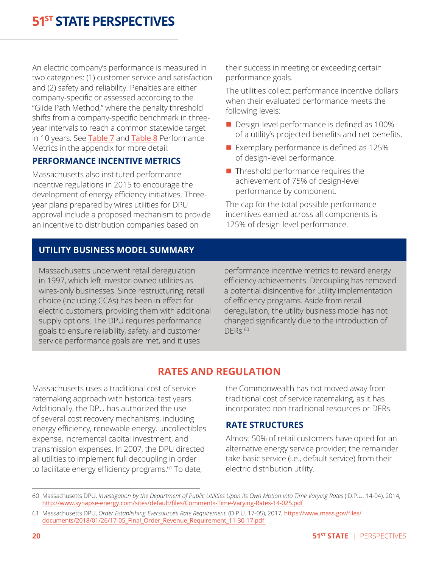An electric company's performance is measured in two categories: (1) customer service and satisfaction and (2) safety and reliability. Penalties are either company-specific or assessed according to the "Glide Path Method," where the penalty threshold shifts from a company-specific benchmark in threeyear intervals to reach a common statewide target in 10 years. See [Table](#page-31-0) 7 and Table 8 Performance Metrics in the appendix for more detail.

#### **PERFORMANCE INCENTIVE METRICS**

Massachusetts also instituted performance incentive regulations in 2015 to encourage the development of energy efficiency initiatives. Threeyear plans prepared by wires utilities for DPU approval include a proposed mechanism to provide an incentive to distribution companies based on

their success in meeting or exceeding certain performance goals.

The utilities collect performance incentive dollars when their evaluated performance meets the following levels:

- Design-level performance is defined as 100% of a utility's projected benefits and net benefits.
- $\blacksquare$  Exemplary performance is defined as 125% of design-level performance.
- $\blacksquare$  Threshold performance requires the achievement of 75% of design-level performance by component.

The cap for the total possible performance incentives earned across all components is 125% of design-level performance.

#### **UTILITY BUSINESS MODEL SUMMARY**

Massachusetts underwent retail deregulation in 1997, which left investor-owned utilities as wires-only businesses. Since restructuring, retail choice (including CCAs) has been in effect for electric customers, providing them with additional supply options. The DPU requires performance goals to ensure reliability, safety, and customer service performance goals are met, and it uses

performance incentive metrics to reward energy efficiency achievements. Decoupling has removed a potential disincentive for utility implementation of efficiency programs. Aside from retail deregulation, the utility business model has not changed significantly due to the introduction of  $DFR<sub>5</sub>$  60

### **RATES AND REGULATION**

Massachusetts uses a traditional cost of service ratemaking approach with historical test years. Additionally, the DPU has authorized the use of several cost recovery mechanisms, including energy efficiency, renewable energy, uncollectibles expense, incremental capital investment, and transmission expenses. In 2007, the DPU directed all utilities to implement full decoupling in order to facilitate energy efficiency programs.<sup>61</sup> To date,

<span id="page-19-0"></span>the Commonwealth has not moved away from traditional cost of service ratemaking, as it has incorporated non-traditional resources or DERs.

#### **RATE STRUCTURES**

Almost 50% of retail customers have opted for an alternative energy service provider; the remainder take basic service (i.e., default service) from their electric distribution utility.

<sup>60</sup> Massachusetts DPU, *Investigation by the Department of Public Utilities Upon its Own Motion into Time Varying Rates* ( D.P.U. 14-04), 2014, http://www.synapse-energy.com/sites/default/files/Comments-Time-Varying-Rates-14-025.pdf

<sup>61</sup> Massachusetts DPU, *Order Establishing Eversource's Rate Requirement*, (D.P.U. 17-05), 2017, [https://www.mass.gov/files/](https://www.mass.gov/files/documents/2018/01/26/17-05_Final_Order_Revenue_Requirement_11-30-17.pdf  ) [documents/2018/01/26/17-05\\_Final\\_Order\\_Revenue\\_Requirement\\_11-30-17.pdf](https://www.mass.gov/files/documents/2018/01/26/17-05_Final_Order_Revenue_Requirement_11-30-17.pdf  )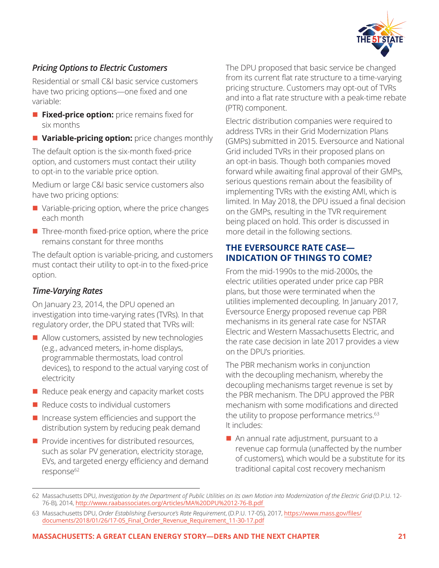

#### *Pricing Options to Electric Customers*

Residential or small C&I basic service customers have two pricing options—one fixed and one variable:

- **Fixed-price option:** price remains fixed for six months
- **n Variable-pricing option:** price changes monthly

The default option is the six-month fixed-price option, and customers must contact their utility to opt-in to the variable price option.

Medium or large C&I basic service customers also have two pricing options:

- $\blacksquare$  Variable-pricing option, where the price changes each month
- $\blacksquare$  Three-month fixed-price option, where the price remains constant for three months

The default option is variable-pricing, and customers must contact their utility to opt-in to the fixed-price option.

#### *Time-Varying Rates*

On January 23, 2014, the DPU opened an investigation into time-varying rates (TVRs). In that regulatory order, the DPU stated that TVRs will:

- $\blacksquare$  Allow customers, assisted by new technologies (e.g., advanced meters, in-home displays, programmable thermostats, load control devices), to respond to the actual varying cost of electricity
- $\blacksquare$  Reduce peak energy and capacity market costs
- $\blacksquare$  Reduce costs to individual customers
- $\blacksquare$  Increase system efficiencies and support the distribution system by reducing peak demand
- $\blacksquare$  Provide incentives for distributed resources, such as solar PV generation, electricity storage, EVs, and targeted energy efficiency and demand response<sup>62</sup>

The DPU proposed that basic service be changed from its current flat rate structure to a time-varying pricing structure. Customers may opt-out of TVRs and into a flat rate structure with a peak-time rebate (PTR) component.

Electric distribution companies were required to address TVRs in their Grid Modernization Plans (GMPs) submitted in 2015. Eversource and National Grid included TVRs in their proposed plans on an opt-in basis. Though both companies moved forward while awaiting final approval of their GMPs, serious questions remain about the feasibility of implementing TVRs with the existing AMI, which is limited. In May 2018, the DPU issued a final decision on the GMPs, resulting in the TVR requirement being placed on hold. This order is discussed in more detail in the following sections.

#### **THE EVERSOURCE RATE CASE— INDICATION OF THINGS TO COME?**

From the mid-1990s to the mid-2000s, the electric utilities operated under price cap PBR plans, but those were terminated when the utilities implemented decoupling. In January 2017, Eversource Energy proposed revenue cap PBR mechanisms in its general rate case for NSTAR Electric and Western Massachusetts Electric, and the rate case decision in late 2017 provides a view on the DPU's priorities.

The PBR mechanism works in conjunction with the decoupling mechanism, whereby the decoupling mechanisms target revenue is set by the PBR mechanism. The DPU approved the PBR mechanism with some modifications and directed the utility to propose performance metrics.<sup>63</sup> It includes:

 $\blacksquare$  An annual rate adjustment, pursuant to a revenue cap formula (unaffected by the number of customers), which would be a substitute for its traditional capital cost recovery mechanism

<sup>62</sup> Massachusetts DPU, *Investigation by the Department of Public Utilities on its own Motion into Modernization of the Electric Grid* (D.P.U. 12- 76-B), 2014, [http://www.raabassociates.org/Articles/MA%20DPU%2012-76-B.pdf](http://www.raabassociates.org/Articles/MA%20DPU%2012-76-B.pdf ) 

<sup>63</sup> Massachusetts DPU, *Order Establishing Eversource's Rate Requirement*, (D.P.U. 17-05), 2017, [https://www.mass.gov/files/](https://www.mass.gov/files/documents/2018/01/26/17-05_Final_Order_Revenue_Requirement_11-30-17.pdf) [documents/2018/01/26/17-05\\_Final\\_Order\\_Revenue\\_Requirement\\_11-30-17.pdf](https://www.mass.gov/files/documents/2018/01/26/17-05_Final_Order_Revenue_Requirement_11-30-17.pdf)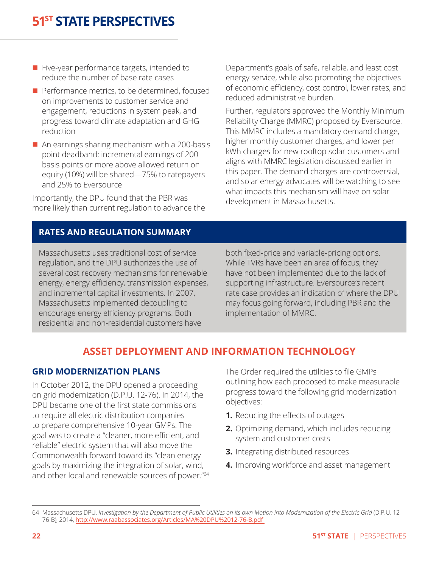- $\blacksquare$  Five-year performance targets, intended to reduce the number of base rate cases
- $\blacksquare$  Performance metrics, to be determined, focused on improvements to customer service and engagement, reductions in system peak, and progress toward climate adaptation and GHG reduction
- $\blacksquare$  An earnings sharing mechanism with a 200-basis point deadband: incremental earnings of 200 basis points or more above allowed return on equity (10%) will be shared—75% to ratepayers and 25% to Eversource

Importantly, the DPU found that the PBR was more likely than current regulation to advance the Department's goals of safe, reliable, and least cost energy service, while also promoting the objectives of economic efficiency, cost control, lower rates, and reduced administrative burden.

Further, regulators approved the Monthly Minimum Reliability Charge (MMRC) proposed by Eversource. This MMRC includes a mandatory demand charge, higher monthly customer charges, and lower per kWh charges for new rooftop solar customers and aligns with MMRC legislation discussed earlier in this paper. The demand charges are controversial, and solar energy advocates will be watching to see what impacts this mechanism will have on solar development in Massachusetts.

#### **RATES AND REGULATION SUMMARY**

Massachusetts uses traditional cost of service regulation, and the DPU authorizes the use of several cost recovery mechanisms for renewable energy, energy efficiency, transmission expenses, and incremental capital investments. In 2007, Massachusetts implemented decoupling to encourage energy efficiency programs. Both residential and non-residential customers have

both fixed-price and variable-pricing options. While TVRs have been an area of focus, they have not been implemented due to the lack of supporting infrastructure. Eversource's recent rate case provides an indication of where the DPU may focus going forward, including PBR and the implementation of MMRC.

### <span id="page-21-0"></span>**ASSET DEPLOYMENT AND INFORMATION TECHNOLOGY**

#### **GRID MODERNIZATION PLANS**

In October 2012, the DPU opened a proceeding on grid modernization (D.P.U. 12-76). In 2014, the DPU became one of the first state commissions to require all electric distribution companies to prepare comprehensive 10-year GMPs. The goal was to create a "cleaner, more efficient, and reliable" electric system that will also move the Commonwealth forward toward its "clean energy goals by maximizing the integration of solar, wind, and other local and renewable sources of power."<sup>64</sup> The Order required the utilities to file GMPs outlining how each proposed to make measurable progress toward the following grid modernization objectives:

- **1.** Reducing the effects of outages
- **2.** Optimizing demand, which includes reducing system and customer costs
- **3.** Integrating distributed resources
- **4.** Improving workforce and asset management

<sup>64</sup> Massachusetts DPU, *Investigation by the Department of Public Utilities on its own Motion into Modernization of the Electric Grid* (D.P.U. 12- 76-B), 2014, [http://www.raabassociates.org/Articles/MA%20DPU%2012-76-B.pdf](http://www.raabassociates.org/Articles/MA%20DPU%2012-76-B.pdf )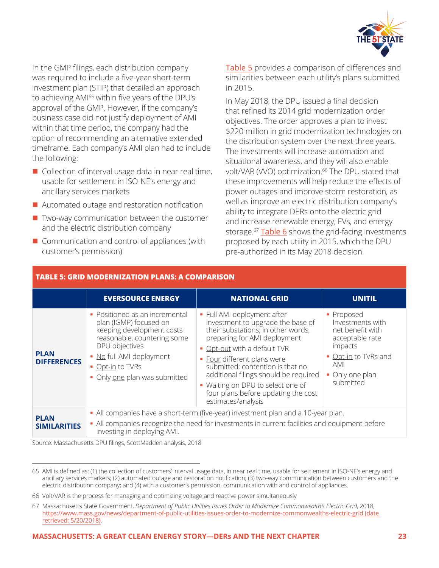

In the GMP filings, each distribution company was required to include a five-year short-term investment plan (STIP) that detailed an approach to achieving AMI<sup>65</sup> within five years of the DPU's approval of the GMP. However, if the company's business case did not justify deployment of AMI within that time period, the company had the option of recommending an alternative extended timeframe. Each company's AMI plan had to include the following:

- $\blacksquare$  Collection of interval usage data in near real time, usable for settlement in ISO-NE's energy and ancillary services markets
- $\blacksquare$  Automated outage and restoration notification
- $\blacksquare$  Two-way communication between the customer and the electric distribution company
- $\blacksquare$  Communication and control of appliances (with customer's permission)

<span id="page-22-0"></span>**TABLE 5: GRID MODERNIZATION PLANS: A COMPARISON**

[Table 5](#page-22-0) provides a comparison of differences and similarities between each utility's plans submitted in 2015.

In May 2018, the DPU issued a final decision that refined its 2014 grid modernization order objectives. The order approves a plan to invest \$220 million in grid modernization technologies on the distribution system over the next three years. The investments will increase automation and situational awareness, and they will also enable volt/VAR (VVO) optimization.<sup>66</sup> The DPU stated that these improvements will help reduce the effects of power outages and improve storm restoration, as well as improve an electric distribution company's ability to integrate DERs onto the electric grid and increase renewable energy, EVs, and energy storage.<sup>67</sup> [Table 6](#page-23-0) shows the grid-facing investments proposed by each utility in 2015, which the DPU pre-authorized in its May 2018 decision.

|                                    | <b>EVERSOURCE ENERGY</b>                                                                                                                                                                                                | <b>NATIONAL GRID</b>                                                                                                                                                                                                                                                                                                                                                             | <b>UNITIL</b>                                                                                                                                   |
|------------------------------------|-------------------------------------------------------------------------------------------------------------------------------------------------------------------------------------------------------------------------|----------------------------------------------------------------------------------------------------------------------------------------------------------------------------------------------------------------------------------------------------------------------------------------------------------------------------------------------------------------------------------|-------------------------------------------------------------------------------------------------------------------------------------------------|
| <b>PLAN</b><br><b>DIFFERENCES</b>  | • Positioned as an incremental<br>plan (IGMP) focused on<br>keeping development costs<br>reasonable, countering some<br>DPU objectives<br>• No full AMI deployment<br>• Opt-in to TVRs<br>• Only one plan was submitted | • Full AMI deployment after<br>investment to upgrade the base of<br>their substations; in other words,<br>preparing for AMI deployment<br>Opt-out with a default TVR<br>Four different plans were<br>submitted; contention is that no<br>additional filings should be required<br>• Waiting on DPU to select one of<br>four plans before updating the cost<br>estimates/analysis | • Proposed<br>Investments with<br>net benefit with<br>acceptable rate<br>impacts<br>• Opt-in to TVRs and<br>AMI<br>• Only one plan<br>submitted |
| <b>PLAN</b><br><b>SIMILARITIES</b> | investing in deploying AMI.                                                                                                                                                                                             | • All companies have a short-term (five-year) investment plan and a 10-year plan.<br>• All companies recognize the need for investments in current facilities and equipment before                                                                                                                                                                                               |                                                                                                                                                 |

Source: Massachusetts DPU filings, ScottMadden analysis, 2018

65 AMI is defined as: (1) the collection of customers' interval usage data, in near real time, usable for settlement in ISO-NE's energy and ancillary services markets; (2) automated outage and restoration notification; (3) two-way communication between customers and the electric distribution company; and (4) with a customer's permission, communication with and control of appliances.

67 Massachusetts State Government, *Department of Public Utilities Issues Order to Modernize Commonwealth's Electric Grid*, 2018, <https://www.mass.gov/news/department-of-public-utilities-issues-order-to-modernize-commonwealths-electric-grid> (date [retrieved: 5/20/2018\)](https://www.mass.gov/news/department-of-public-utilities-issues-order-to-modernize-commonwealths-electric-grid).

#### **MASSACHUSETTS: A GREAT CLEAN ENERGY STORY—DERs AND THE NEXT CHAPTER 23**

<sup>66</sup> Volt/VAR is the process for managing and optimizing voltage and reactive power simultaneously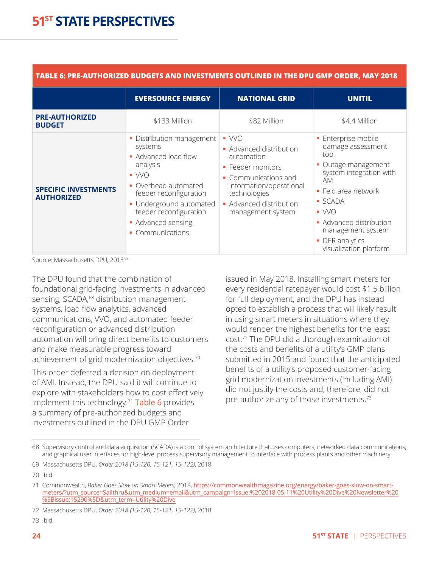<span id="page-23-0"></span>

| TABLE 6: PRE-AUTHORIZED BUDGETS AND INVESTMENTS OUTLINED IN THE DPU GMP ORDER, MAY 2018 |                                                                                                                                                                                                                                           |                                                                                                                                                                                                  |                                                                                                                                                                                                                                                               |  |
|-----------------------------------------------------------------------------------------|-------------------------------------------------------------------------------------------------------------------------------------------------------------------------------------------------------------------------------------------|--------------------------------------------------------------------------------------------------------------------------------------------------------------------------------------------------|---------------------------------------------------------------------------------------------------------------------------------------------------------------------------------------------------------------------------------------------------------------|--|
|                                                                                         | <b>EVERSOURCE ENERGY</b>                                                                                                                                                                                                                  | <b>NATIONAL GRID</b>                                                                                                                                                                             | <b>UNITIL</b>                                                                                                                                                                                                                                                 |  |
| <b>PRE-AUTHORIZED</b><br><b>BUDGET</b>                                                  | \$133 Million                                                                                                                                                                                                                             | \$82 Million                                                                                                                                                                                     | \$4.4 Million                                                                                                                                                                                                                                                 |  |
| <b>SPECIFIC INVESTMENTS</b><br><b>AUTHORIZED</b>                                        | • Distribution management<br>systems<br>• Advanced load flow<br>analysis<br>$\bullet$ WO<br>• Overhead automated<br>feeder reconfiguration<br>• Underground automated<br>feeder reconfiguration<br>• Advanced sensing<br>• Communications | $\blacksquare$ WO<br>• Advanced distribution<br>automation<br>• Feeder monitors<br>Communications and<br>information/operational<br>technologies<br>• Advanced distribution<br>management system | · Enterprise mobile<br>damage assessment<br>tool<br>Outage management<br>system integration with<br><b>AMI</b><br>• Feld area network<br>■ SCADA<br>$\bullet$ WO<br>• Advanced distribution<br>management system<br>• DER analytics<br>visualization platform |  |

Source: Massachusetts DPU, 201869

The DPU found that the combination of foundational grid-facing investments in advanced sensing, SCADA,<sup>68</sup> distribution management systems, load flow analytics, advanced communications, VVO, and automated feeder reconfiguration or advanced distribution automation will bring direct benefits to customers and make measurable progress toward achievement of grid modernization objectives.<sup>70</sup>

This order deferred a decision on deployment of AMI. Instead, the DPU said it will continue to explore with stakeholders how to cost effectively implement this technology.<sup>71</sup> [Table 6](#page-23-0) provides a summary of pre-authorized budgets and investments outlined in the DPU GMP Order

issued in May 2018. Installing smart meters for every residential ratepayer would cost \$1.5 billion for full deployment, and the DPU has instead opted to establish a process that will likely result in using smart meters in situations where they would render the highest benefits for the least cost.72 The DPU did a thorough examination of the costs and benefits of a utility's GMP plans submitted in 2015 and found that the anticipated benefits of a utility's proposed customer-facing grid modernization investments (including AMI) did not justify the costs and, therefore, did not pre-authorize any of those investments.<sup>73</sup>

73 Ibid.

<sup>68</sup> Supervisory control and data acquisition (SCADA) is a control system architecture that uses computers, networked data communications, and graphical user interfaces for high-level process supervisory management to interface with process plants and other machinery.

<sup>69</sup> Massachusetts DPU, *Order 2018 (15-120, 15-121, 15-122)*, 2018

<sup>70</sup> Ibid.

<sup>71</sup> Commonwealth, *Baker Goes Slow on Smart Meters*, 2018, [https://commonwealthmagazine.org/energy/baker-goes-slow-on-smart](https://commonwealthmagazine.org/energy/baker-goes-slow-on-smart-meters/?utm_source=Sailthru&utm_medium=email&utm_campaign=Issue:%202018-05-11%20Utility%20Dive%20Newsletter%20%5Bissue:15290%5D&utm_term=Utility%20Dive)[meters/?utm\\_source=Sailthru&utm\\_medium=email&utm\\_campaign=Issue:%202018-05-11%20Utility%20Dive%20Newsletter%20](https://commonwealthmagazine.org/energy/baker-goes-slow-on-smart-meters/?utm_source=Sailthru&utm_medium=email&utm_campaign=Issue:%202018-05-11%20Utility%20Dive%20Newsletter%20%5Bissue:15290%5D&utm_term=Utility%20Dive) [%5Bissue:15290%5D&utm\\_term=Utility%20Dive](https://commonwealthmagazine.org/energy/baker-goes-slow-on-smart-meters/?utm_source=Sailthru&utm_medium=email&utm_campaign=Issue:%202018-05-11%20Utility%20Dive%20Newsletter%20%5Bissue:15290%5D&utm_term=Utility%20Dive)

<sup>72</sup> Massachusetts DPU, *Order 2018 (15-120, 15-121, 15-122)*, 2018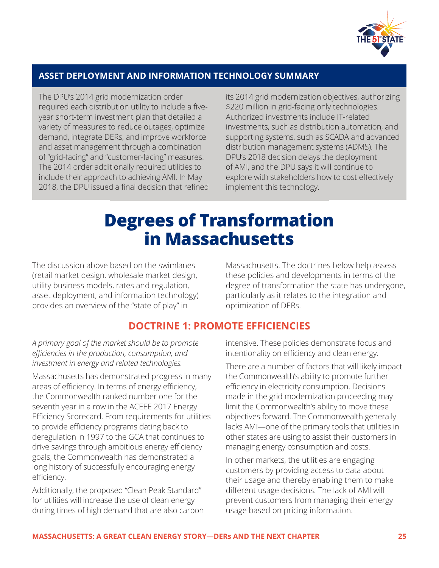

#### **ASSET DEPLOYMENT AND INFORMATION TECHNOLOGY SUMMARY**

The DPU's 2014 grid modernization order required each distribution utility to include a fiveyear short-term investment plan that detailed a variety of measures to reduce outages, optimize demand, integrate DERs, and improve workforce and asset management through a combination of "grid-facing" and "customer-facing" measures. The 2014 order additionally required utilities to include their approach to achieving AMI. In May 2018, the DPU issued a final decision that refined its 2014 grid modernization objectives, authorizing \$220 million in grid-facing only technologies. Authorized investments include IT-related investments, such as distribution automation, and supporting systems, such as SCADA and advanced distribution management systems (ADMS). The DPU's 2018 decision delays the deployment of AMI, and the DPU says it will continue to explore with stakeholders how to cost effectively implement this technology.

# <span id="page-24-0"></span>**Degrees of Transformation in Massachusetts**

The discussion above based on the swimlanes (retail market design, wholesale market design, utility business models, rates and regulation, asset deployment, and information technology) provides an overview of the "state of play" in

Massachusetts. The doctrines below help assess these policies and developments in terms of the degree of transformation the state has undergone, particularly as it relates to the integration and optimization of DERs.

#### **DOCTRINE 1: PROMOTE EFFICIENCIES**

*A primary goal of the market should be to promote efficiencies in the production, consumption, and investment in energy and related technologies.* 

Massachusetts has demonstrated progress in many areas of efficiency. In terms of energy efficiency, the Commonwealth ranked number one for the seventh year in a row in the ACEEE 2017 Energy Efficiency Scorecard. From requirements for utilities to provide efficiency programs dating back to deregulation in 1997 to the GCA that continues to drive savings through ambitious energy efficiency goals, the Commonwealth has demonstrated a long history of successfully encouraging energy efficiency.

Additionally, the proposed "Clean Peak Standard" for utilities will increase the use of clean energy during times of high demand that are also carbon <span id="page-24-1"></span>intensive. These policies demonstrate focus and intentionality on efficiency and clean energy.

There are a number of factors that will likely impact the Commonwealth's ability to promote further efficiency in electricity consumption. Decisions made in the grid modernization proceeding may limit the Commonwealth's ability to move these objectives forward. The Commonwealth generally lacks AMI—one of the primary tools that utilities in other states are using to assist their customers in managing energy consumption and costs.

In other markets, the utilities are engaging customers by providing access to data about their usage and thereby enabling them to make different usage decisions. The lack of AMI will prevent customers from managing their energy usage based on pricing information.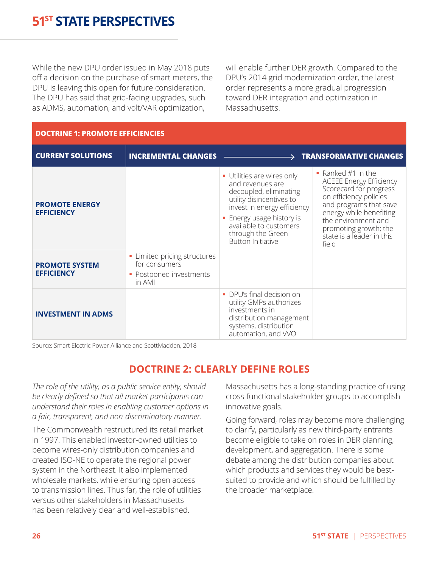While the new DPU order issued in May 2018 puts off a decision on the purchase of smart meters, the DPU is leaving this open for future consideration. The DPU has said that grid-facing upgrades, such as ADMS, automation, and volt/VAR optimization,

will enable further DER growth. Compared to the DPU's 2014 grid modernization order, the latest order represents a more gradual progression toward DER integration and optimization in Massachusetts.

| <b>DOCTRINE 1: PROMOTE EFFICIENCIES</b>    |                                                                                  |                                                                                                                                                                                                                                      |                                                                                                                                                                                                                                                     |
|--------------------------------------------|----------------------------------------------------------------------------------|--------------------------------------------------------------------------------------------------------------------------------------------------------------------------------------------------------------------------------------|-----------------------------------------------------------------------------------------------------------------------------------------------------------------------------------------------------------------------------------------------------|
| <b>CURRENT SOLUTIONS</b>                   | <b>INCREMENTAL CHANGES</b>                                                       |                                                                                                                                                                                                                                      | <b>TRANSFORMATIVE CHANGES</b>                                                                                                                                                                                                                       |
| <b>PROMOTE ENERGY</b><br><b>EFFICIENCY</b> |                                                                                  | • Utilities are wires only<br>and revenues are<br>decoupled, eliminating<br>utility disincentives to<br>invest in energy efficiency<br>• Energy usage history is<br>available to customers<br>through the Green<br>Button Initiative | Ranked $#1$ in the<br><b>ACEEE Energy Efficiency</b><br>Scorecard for progress<br>on efficiency policies<br>and programs that save<br>energy while benefiting<br>the environment and<br>promoting growth; the<br>state is a leader in this<br>field |
| <b>PROMOTE SYSTEM</b><br><b>EFFICIENCY</b> | • Limited pricing structures<br>for consumers<br>Postponed investments<br>in AMI |                                                                                                                                                                                                                                      |                                                                                                                                                                                                                                                     |
| <b>INVESTMENT IN ADMS</b>                  |                                                                                  | • DPU's final decision on<br>utility GMPs authorizes<br>investments in<br>distribution management<br>systems, distribution<br>automation, and WO                                                                                     |                                                                                                                                                                                                                                                     |

Source: Smart Electric Power Alliance and ScottMadden, 2018

#### **DOCTRINE 2: CLEARLY DEFINE ROLES**

*The role of the utility, as a public service entity, should be clearly defined so that all market participants can understand their roles in enabling customer options in a fair, transparent, and non-discriminatory manner.* 

The Commonwealth restructured its retail market in 1997. This enabled investor-owned utilities to become wires-only distribution companies and created ISO-NE to operate the regional power system in the Northeast. It also implemented wholesale markets, while ensuring open access to transmission lines. Thus far, the role of utilities versus other stakeholders in Massachusetts has been relatively clear and well-established.

<span id="page-25-0"></span>Massachusetts has a long-standing practice of using cross-functional stakeholder groups to accomplish innovative goals.

Going forward, roles may become more challenging to clarify, particularly as new third-party entrants become eligible to take on roles in DER planning, development, and aggregation. There is some debate among the distribution companies about which products and services they would be bestsuited to provide and which should be fulfilled by the broader marketplace.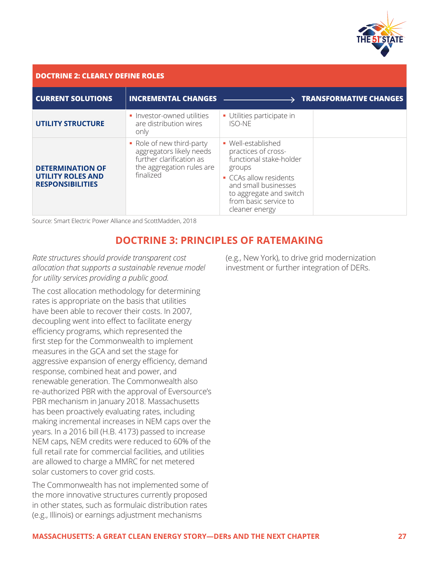

| <b>DOCTRINE 2: CLEARLY DEFINE ROLES</b>                                        |                                                                                                                             |                                                                                                                                                                                                      |                               |
|--------------------------------------------------------------------------------|-----------------------------------------------------------------------------------------------------------------------------|------------------------------------------------------------------------------------------------------------------------------------------------------------------------------------------------------|-------------------------------|
| <b>CURRENT SOLUTIONS</b>                                                       | <b>INCREMENTAL CHANGES</b>                                                                                                  |                                                                                                                                                                                                      | <b>TRANSFORMATIVE CHANGES</b> |
| <b>UTILITY STRUCTURE</b>                                                       | · Investor-owned utilities<br>are distribution wires<br>only                                                                | · Utilities participate in<br><b>ISO-NE</b>                                                                                                                                                          |                               |
| <b>DETERMINATION OF</b><br><b>UTILITY ROLES AND</b><br><b>RESPONSIBILITIES</b> | • Role of new third-party<br>aggregators likely needs<br>further clarification as<br>the aggregation rules are<br>finalized | • Well-established<br>practices of cross-<br>functional stake-holder<br>groups<br>CCAs allow residents<br>and small businesses<br>to aggregate and switch<br>from basic service to<br>cleaner energy |                               |

Source: Smart Electric Power Alliance and ScottMadden, 2018

#### **DOCTRINE 3: PRINCIPLES OF RATEMAKING**

*Rate structures should provide transparent cost allocation that supports a sustainable revenue model for utility services providing a public good.* 

The cost allocation methodology for determining rates is appropriate on the basis that utilities have been able to recover their costs. In 2007, decoupling went into effect to facilitate energy efficiency programs, which represented the first step for the Commonwealth to implement measures in the GCA and set the stage for aggressive expansion of energy efficiency, demand response, combined heat and power, and renewable generation. The Commonwealth also re-authorized PBR with the approval of Eversource's PBR mechanism in January 2018. Massachusetts has been proactively evaluating rates, including making incremental increases in NEM caps over the years. In a 2016 bill (H.B. 4173) passed to increase NEM caps, NEM credits were reduced to 60% of the full retail rate for commercial facilities, and utilities are allowed to charge a MMRC for net metered solar customers to cover grid costs.

The Commonwealth has not implemented some of the more innovative structures currently proposed in other states, such as formulaic distribution rates (e.g., Illinois) or earnings adjustment mechanisms

<span id="page-26-0"></span>(e.g., New York), to drive grid modernization investment or further integration of DERs.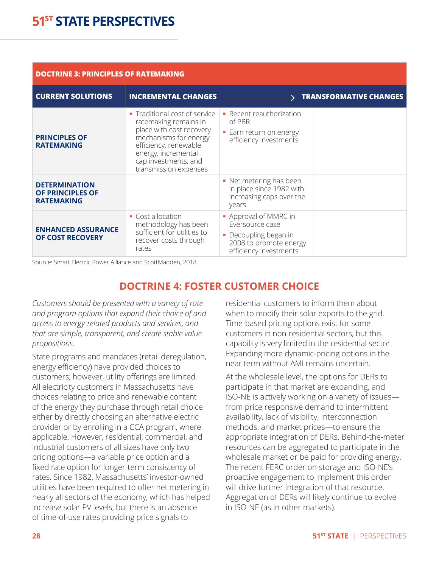| <b>DOCTRINE 3: PRINCIPLES OF RATEMAKING</b>                   |                                                                                                                                                                                                                  |                                                                                                                       |                               |  |  |  |
|---------------------------------------------------------------|------------------------------------------------------------------------------------------------------------------------------------------------------------------------------------------------------------------|-----------------------------------------------------------------------------------------------------------------------|-------------------------------|--|--|--|
| <b>CURRENT SOLUTIONS</b>                                      | <b>INCREMENTAL CHANGES</b>                                                                                                                                                                                       |                                                                                                                       | <b>TRANSFORMATIVE CHANGES</b> |  |  |  |
| <b>PRINCIPLES OF</b><br><b>RATEMAKING</b>                     | Traditional cost of service<br>×.<br>ratemaking remains in<br>place with cost recovery<br>mechanisms for energy<br>efficiency, renewable<br>energy, incremental<br>cap investments, and<br>transmission expenses | • Recent reauthorization<br>of PBR<br>• Earn return on energy<br>efficiency investments                               |                               |  |  |  |
| <b>DETERMINATION</b><br>OF PRINCIPLES OF<br><b>RATEMAKING</b> |                                                                                                                                                                                                                  | • Net metering has been<br>in place since 1982 with<br>increasing caps over the<br>years                              |                               |  |  |  |
| <b>ENHANCED ASSURANCE</b><br>OF COST RECOVERY                 | • Cost allocation<br>methodology has been<br>sufficient for utilities to<br>recover costs through<br>rates                                                                                                       | • Approval of MMRC in<br>Eversource case<br>• Decoupling began in<br>2008 to promote energy<br>efficiency investments |                               |  |  |  |

Source: Smart Electric Power Alliance and ScottMadden, 2018

#### **DOCTRINE 4: FOSTER CUSTOMER CHOICE**

*Customers should be presented with a variety of rate and program options that expand their choice of and access to energy-related products and services, and that are simple, transparent, and create stable value propositions.* 

State programs and mandates (retail deregulation, energy efficiency) have provided choices to customers; however, utility offerings are limited. All electricity customers in Massachusetts have choices relating to price and renewable content of the energy they purchase through retail choice either by directly choosing an alternative electric provider or by enrolling in a CCA program, where applicable. However, residential, commercial, and industrial customers of all sizes have only two pricing options—a variable price option and a fixed rate option for longer-term consistency of rates. Since 1982, Massachusetts' investor-owned utilities have been required to offer net metering in nearly all sectors of the economy, which has helped increase solar PV levels, but there is an absence of time-of-use rates providing price signals to

<span id="page-27-0"></span>residential customers to inform them about when to modify their solar exports to the grid. Time-based pricing options exist for some customers in non-residential sectors, but this capability is very limited in the residential sector. Expanding more dynamic-pricing options in the near term without AMI remains uncertain.

At the wholesale level, the options for DERs to participate in that market are expanding, and ISO-NE is actively working on a variety of issues from price responsive demand to intermittent availability, lack of visibility, interconnection methods, and market prices—to ensure the appropriate integration of DERs. Behind-the-meter resources can be aggregated to participate in the wholesale market or be paid for providing energy. The recent FERC order on storage and ISO-NE's proactive engagement to implement this order will drive further integration of that resource. Aggregation of DERs will likely continue to evolve in ISO-NE (as in other markets).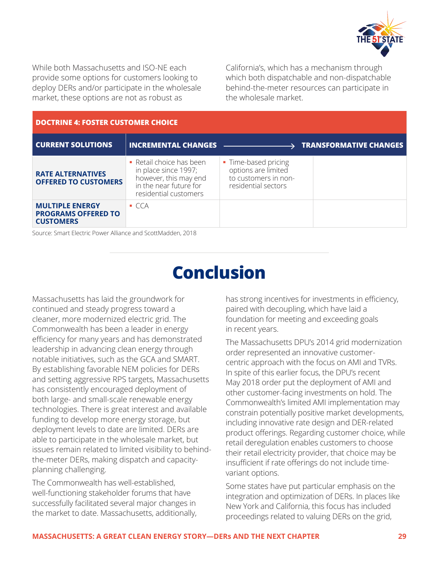

While both Massachusetts and ISO-NE each provide some options for customers looking to deploy DERs and/or participate in the wholesale market, these options are not as robust as

California's, which has a mechanism through which both dispatchable and non-dispatchable behind-the-meter resources can participate in the wholesale market.

| <b>DOCTRINE 4: FOSTER CUSTOMER CHOICE</b>                                |                                                                                                                              |                                                                                            |                               |  |  |  |
|--------------------------------------------------------------------------|------------------------------------------------------------------------------------------------------------------------------|--------------------------------------------------------------------------------------------|-------------------------------|--|--|--|
| <b>CURRENT SOLUTIONS</b>                                                 | <b>INCREMENTAL CHANGES</b>                                                                                                   |                                                                                            | <b>TRANSFORMATIVE CHANGES</b> |  |  |  |
| <b>RATE ALTERNATIVES</b><br><b>OFFERED TO CUSTOMERS</b>                  | • Retail choice has been<br>in place since 1997;<br>however, this may end<br>in the near future for<br>residential customers | • Time-based pricing<br>options are limited<br>to customers in non-<br>residential sectors |                               |  |  |  |
| <b>MULTIPLE ENERGY</b><br><b>PROGRAMS OFFERED TO</b><br><b>CUSTOMERS</b> | $\blacksquare$ CCA                                                                                                           |                                                                                            |                               |  |  |  |

Source: Smart Electric Power Alliance and ScottMadden, 2018

# **Conclusion**

Massachusetts has laid the groundwork for continued and steady progress toward a cleaner, more modernized electric grid. The Commonwealth has been a leader in energy efficiency for many years and has demonstrated leadership in advancing clean energy through notable initiatives, such as the GCA and SMART. By establishing favorable NEM policies for DERs and setting aggressive RPS targets, Massachusetts has consistently encouraged deployment of both large- and small-scale renewable energy technologies. There is great interest and available funding to develop more energy storage, but deployment levels to date are limited. DERs are able to participate in the wholesale market, but issues remain related to limited visibility to behindthe-meter DERs, making dispatch and capacityplanning challenging.

The Commonwealth has well-established, well-functioning stakeholder forums that have successfully facilitated several major changes in the market to date. Massachusetts, additionally, <span id="page-28-0"></span>has strong incentives for investments in efficiency, paired with decoupling, which have laid a foundation for meeting and exceeding goals in recent years.

The Massachusetts DPU's 2014 grid modernization order represented an innovative customercentric approach with the focus on AMI and TVRs. In spite of this earlier focus, the DPU's recent May 2018 order put the deployment of AMI and other customer-facing investments on hold. The Commonwealth's limited AMI implementation may constrain potentially positive market developments, including innovative rate design and DER-related product offerings. Regarding customer choice, while retail deregulation enables customers to choose their retail electricity provider, that choice may be insufficient if rate offerings do not include timevariant options.

Some states have put particular emphasis on the integration and optimization of DERs. In places like New York and California, this focus has included proceedings related to valuing DERs on the grid,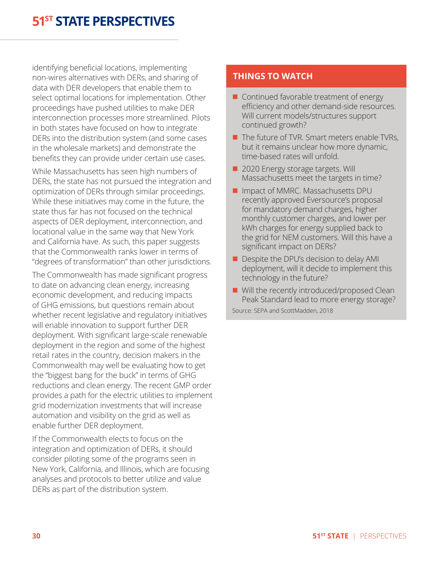identifying beneficial locations, implementing non-wires alternatives with DERs, and sharing of data with DER developers that enable them to select optimal locations for implementation. Other proceedings have pushed utilities to make DER interconnection processes more streamlined. Pilots in both states have focused on how to integrate DERs into the distribution system (and some cases in the wholesale markets) and demonstrate the benefits they can provide under certain use cases.

While Massachusetts has seen high numbers of DERs, the state has not pursued the integration and optimization of DERs through similar proceedings. While these initiatives may come in the future, the state thus far has not focused on the technical aspects of DER deployment, interconnection, and locational value in the same way that New York and California have. As such, this paper suggests that the Commonwealth ranks lower in terms of "degrees of transformation" than other jurisdictions.

The Commonwealth has made significant progress to date on advancing clean energy, increasing economic development, and reducing impacts of GHG emissions, but questions remain about whether recent legislative and regulatory initiatives will enable innovation to support further DER deployment. With significant large-scale renewable deployment in the region and some of the highest retail rates in the country, decision makers in the Commonwealth may well be evaluating how to get the "biggest bang for the buck" in terms of GHG reductions and clean energy. The recent GMP order provides a path for the electric utilities to implement grid modernization investments that will increase automation and visibility on the grid as well as enable further DER deployment.

If the Commonwealth elects to focus on the integration and optimization of DERs, it should consider piloting some of the programs seen in New York, California, and Illinois, which are focusing analyses and protocols to better utilize and value DERs as part of the distribution system.

#### **THINGS TO WATCH**

- $\blacksquare$  Continued favorable treatment of energy efficiency and other demand-side resources. Will current models/structures support continued growth?
- $\blacksquare$  The future of TVR. Smart meters enable TVRs, but it remains unclear how more dynamic, time-based rates will unfold.
- 2020 Energy storage targets. Will Massachusetts meet the targets in time?
- **n** Impact of MMRC. Massachusetts DPU recently approved Eversource's proposal for mandatory demand charges, higher monthly customer charges, and lower per kWh charges for energy supplied back to the grid for NEM customers. Will this have a significant impact on DERs?
- $\blacksquare$  Despite the DPU's decision to delay AMI deployment, will it decide to implement this technology in the future?
- $\blacksquare$  Will the recently introduced/proposed Clean Peak Standard lead to more energy storage? Source: SEPA and ScottMadden, 2018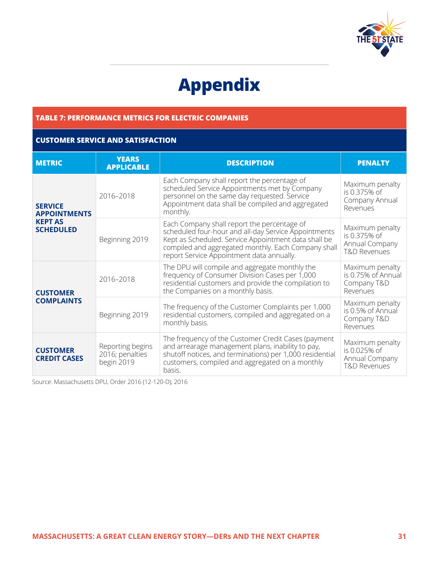<span id="page-30-0"></span>

# **Appendix**

#### <span id="page-30-1"></span>**TABLE 7: PERFORMANCE METRICS FOR ELECTRIC COMPANIES**

#### **CUSTOMER SERVICE AND SATISFACTION**

| <b>METRIC</b>                                                                                                                                                                                                                                                                                                                    | <b>YEARS</b><br><b>APPLICABLE</b> | <b>DESCRIPTION</b>                                                                                                                                                                                                                                              | <b>PENALTY</b>                                                               |
|----------------------------------------------------------------------------------------------------------------------------------------------------------------------------------------------------------------------------------------------------------------------------------------------------------------------------------|-----------------------------------|-----------------------------------------------------------------------------------------------------------------------------------------------------------------------------------------------------------------------------------------------------------------|------------------------------------------------------------------------------|
| <b>SERVICE</b><br><b>APPOINTMENTS</b><br><b>KEPT AS</b><br><b>SCHEDULED</b>                                                                                                                                                                                                                                                      | 2016-2018                         | Each Company shall report the percentage of<br>scheduled Service Appointments met by Company<br>personnel on the same day requested. Service<br>Appointment data shall be compiled and aggregated<br>monthly.                                                   | Maximum penalty<br>is 0.375% of<br>Company Annual<br>Revenues                |
|                                                                                                                                                                                                                                                                                                                                  | Beginning 2019                    | Each Company shall report the percentage of<br>scheduled four-hour and all-day Service Appointments<br>Kept as Scheduled. Service Appointment data shall be<br>compiled and aggregated monthly. Each Company shall<br>report Service Appointment data annually. | Maximum penalty<br>is 0.375% of<br>Annual Company<br><b>T&amp;D Revenues</b> |
| <b>CUSTOMER</b><br><b>COMPLAINTS</b>                                                                                                                                                                                                                                                                                             | 2016-2018                         | The DPU will compile and aggregate monthly the<br>frequency of Consumer Division Cases per 1,000<br>residential customers and provide the compilation to<br>the Companies on a monthly basis.                                                                   | Maximum penalty<br>is 0.75% of Annual<br>Company T&D<br>Revenues             |
|                                                                                                                                                                                                                                                                                                                                  | Beginning 2019                    | The frequency of the Customer Complaints per 1,000<br>residential customers, compiled and aggregated on a<br>monthly basis.                                                                                                                                     | Maximum penalty<br>is 0.5% of Annual<br>Company T&D<br>Revenues              |
| The frequency of the Customer Credit Cases (payment<br>and arrearage management plans, inability to pay,<br>Reporting begins<br><b>CUSTOMER</b><br>shutoff notices, and terminations) per 1,000 residential<br>2016; penalties<br><b>CREDIT CASES</b><br>customers, compiled and aggregated on a monthly<br>begin 2019<br>basis. |                                   | Maximum penalty<br>is 0.025% of<br>Annual Company<br><b>T&amp;D Revenues</b>                                                                                                                                                                                    |                                                                              |

Source: Massachusetts DPU, Order 2016 (12-120-D), 2016